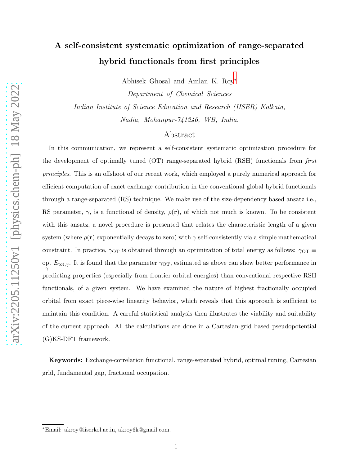# A self-consistent systematic optimization of range-separated hybrid functionals from first principles

Abhisek Ghosal and Amlan K. Roy[∗](#page-0-0)

Department of Chemical Sciences Indian Institute of Science Education and Research (IISER) Kolkata, Nadia, Mohanpur-741246, WB, India.

## Abstract

In this communication, we represent a self-consistent systematic optimization procedure for the development of optimally tuned (OT) range-separated hybrid (RSH) functionals from *first principles*. This is an offshoot of our recent work, which employed a purely numerical approach for efficient computation of exact exchange contribution in the conventional global hybrid functionals through a range-separated (RS) technique. We make use of the size-dependency based ansatz i.e., RS parameter,  $\gamma$ , is a functional of density,  $\rho(\mathbf{r})$ , of which not much is known. To be consistent with this ansatz, a novel procedure is presented that relates the characteristic length of a given system (where  $\rho(\mathbf{r})$  exponentially decays to zero) with  $\gamma$  self-consistently via a simple mathematical constraint. In practice,  $\gamma_{\text{OT}}$  is obtained through an optimization of total energy as follows:  $\gamma_{\text{OT}} \equiv$ opt  $E_{\text{tot},\gamma}$ . It is found that the parameter  $\gamma$ <sub>OT</sub>, estimated as above can show better performance in predicting properties (especially from frontier orbital energies) than conventional respective RSH functionals, of a given system. We have examined the nature of highest fractionally occupied orbital from exact piece-wise linearity behavior, which reveals that this approach is sufficient to maintain this condition. A careful statistical analysis then illustrates the viability and suitability of the current approach. All the calculations are done in a Cartesian-grid based pseudopotential (G)KS-DFT framework.

Keywords: Exchange-correlation functional, range-separated hybrid, optimal tuning, Cartesian grid, fundamental gap, fractional occupation.

<span id="page-0-0"></span><sup>∗</sup>Email: akroy@iiserkol.ac.in, akroy6k@gmail.com.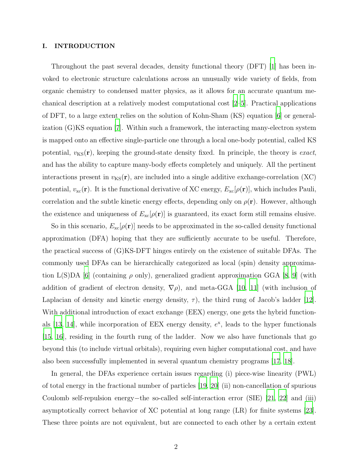## I. INTRODUCTION

Throughout the past several decades, density functional theory (DFT) [\[1](#page-29-0)] has been invoked to electronic structure calculations across an unusually wide variety of fields, from organic chemistry to condensed matter physics, as it allows for an accurate quantum mechanical description at a relatively modest computational cost [\[2](#page-29-1)[–5\]](#page-29-2). Practical applications of DFT, to a large extent relies on the solution of Kohn-Sham (KS) equation [\[6\]](#page-30-0) or generalization (G)KS equation [\[7](#page-30-1)]. Within such a framework, the interacting many-electron system is mapped onto an effective single-particle one through a local one-body potential, called KS potential,  $v_{\text{KS}}(\mathbf{r})$ , keeping the ground-state density fixed. In principle, the theory is exact, and has the ability to capture many-body effects completely and uniquely. All the pertinent interactions present in  $v_{\text{KS}}(\mathbf{r})$ , are included into a single additive exchange-correlation (XC) potential,  $v_{\rm xc}(\mathbf{r})$ . It is the functional derivative of XC energy,  $E_{\rm xc}[\rho(\mathbf{r})]$ , which includes Pauli, correlation and the subtle kinetic energy effects, depending only on  $\rho(\mathbf{r})$ . However, although the existence and uniqueness of  $E_{\text{xc}}[\rho(\mathbf{r})]$  is guaranteed, its exact form still remains elusive.

So in this scenario,  $E_{\text{xc}}[\rho(\mathbf{r})]$  needs to be approximated in the so-called density functional approximation (DFA) hoping that they are sufficiently accurate to be useful. Therefore, the practical success of (G)KS-DFT hinges entirely on the existence of suitable DFAs. The commonly used DFAs can be hierarchically categorized as local (spin) density approxima-tion L(S)DA [\[6](#page-30-0)] (containing  $\rho$  only), generalized gradient approximation GGA [\[8,](#page-30-2) [9](#page-30-3)] (with addition of gradient of electron density,  $\nabla \rho$ ), and meta-GGA [\[10,](#page-30-4) [11](#page-30-5)] (with inclusion of Laplacian of density and kinetic energy density,  $\tau$ ), the third rung of Jacob's ladder [\[12\]](#page-30-6). With additional introduction of exact exchange (EEX) energy, one gets the hybrid functionals  $[13, 14]$  $[13, 14]$ , while incorporation of EEX energy density,  $e^x$ , leads to the hyper functionals [\[15](#page-30-9), [16\]](#page-30-10), residing in the fourth rung of the ladder. Now we also have functionals that go beyond this (to include virtual orbitals), requiring even higher computational cost, and have also been successfully implemented in several quantum chemistry programs [\[17](#page-30-11), [18](#page-30-12)].

In general, the DFAs experience certain issues regarding (i) piece-wise linearity (PWL) of total energy in the fractional number of particles [\[19,](#page-30-13) [20](#page-30-14)] (ii) non-cancellation of spurious Coulomb self-repulsion energy−the so-called self-interaction error (SIE) [\[21,](#page-30-15) [22\]](#page-30-16) and (iii) asymptotically correct behavior of XC potential at long range (LR) for finite systems [\[23\]](#page-30-17). These three points are not equivalent, but are connected to each other by a certain extent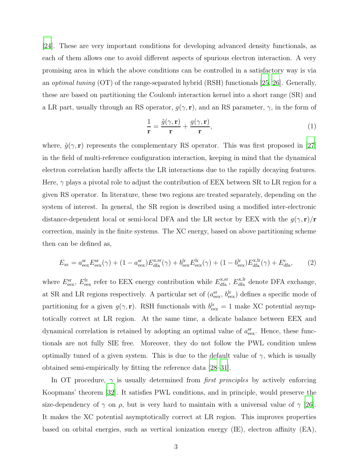[\[24\]](#page-30-18). These are very important conditions for developing advanced density functionals, as each of them allows one to avoid different aspects of spurious electron interaction. A very promising area in which the above conditions can be controlled in a satisfactory way is via an optimal tuning (OT) of the range-separated hybrid (RSH) functionals [\[25](#page-30-19), [26](#page-30-20)]. Generally, these are based on partitioning the Coulomb interaction kernel into a short range (SR) and a LR part, usually through an RS operator,  $g(\gamma, \mathbf{r})$ , and an RS parameter,  $\gamma$ , in the form of

$$
\frac{1}{\mathbf{r}} = \frac{\tilde{g}(\gamma, \mathbf{r})}{\mathbf{r}} + \frac{g(\gamma, \mathbf{r})}{\mathbf{r}},\tag{1}
$$

where,  $\tilde{g}(\gamma, r)$  represents the complementary RS operator. This was first proposed in [\[27\]](#page-30-21) in the field of multi-reference configuration interaction, keeping in mind that the dynamical electron correlation hardly affects the LR interactions due to the rapidly decaying features. Here,  $\gamma$  plays a pivotal role to adjust the contribution of EEX between SR to LR region for a given RS operator. In literature, these two regions are treated separately, depending on the system of interest. In general, the SR region is described using a modified inter-electronic distance-dependent local or semi-local DFA and the LR sector by EEX with the  $g(\gamma, \mathbf{r})/\mathbf{r}$ correction, mainly in the finite systems. The XC energy, based on above partitioning scheme then can be defined as,

$$
E_{\rm xc} = a_{\rm eex}^{\rm sr} E_{\rm eex}^{\rm sr}(\gamma) + (1 - a_{\rm eex}^{\rm sr}) E_{\rm dfa}^{\rm x, sr}(\gamma) + b_{\rm eex}^{\rm lr} E_{\rm eex}^{\rm lr}(\gamma) + (1 - b_{\rm eex}^{\rm lr}) E_{\rm dfa}^{\rm x, lr}(\gamma) + E_{\rm dfa}^{\rm c},\tag{2}
$$

where  $E_{\text{eex}}^{\text{sr}}, E_{\text{eex}}^{\text{lr}}$  refer to EEX energy contribution while  $E_{\text{dfa}}^{\text{x,sr}}, E_{\text{dfa}}^{\text{x,lr}}$  denote DFA exchange, at SR and LR regions respectively. A particular set of  $(a_{\text{eex}}^{\text{sr}}, b_{\text{eex}}^{\text{lr}})$  defines a specific mode of partitioning for a given  $g(\gamma, \mathbf{r})$ . RSH functionals with  $b_{\text{eex}}^{\text{lr}} = 1$  make XC potential asymptotically correct at LR region. At the same time, a delicate balance between EEX and dynamical correlation is retained by adopting an optimal value of  $a_{\text{eex}}^{\text{sr}}$ . Hence, these functionals are not fully SIE free. Moreover, they do not follow the PWL condition unless optimally tuned of a given system. This is due to the default value of  $\gamma$ , which is usually obtained semi-empirically by fitting the reference data [\[28](#page-30-22)[–31\]](#page-30-23).

In OT procedure,  $\gamma$  is usually determined from *first principles* by actively enforcing Koopmans' theorem [\[32](#page-30-24)]. It satisfies PWL conditions, and in principle, would preserve the size-dependency of  $\gamma$  on  $\rho$ , but is very hard to maintain with a universal value of  $\gamma$  [\[26\]](#page-30-20). It makes the XC potential asymptotically correct at LR region. This improves properties based on orbital energies, such as vertical ionization energy (IE), electron affinity (EA),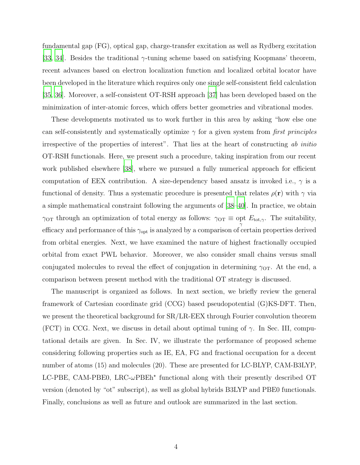fundamental gap (FG), optical gap, charge-transfer excitation as well as Rydberg excitation [\[33,](#page-30-25) [34](#page-30-26)]. Besides the traditional  $\gamma$ -tuning scheme based on satisfying Koopmans' theorem, recent advances based on electron localization function and localized orbital locator have been developed in the literature which requires only one single self-consistent field calculation [\[35,](#page-31-0) [36](#page-31-1)]. Moreover, a self-consistent OT-RSH approach [\[37](#page-31-2)] has been developed based on the minimization of inter-atomic forces, which offers better geometries and vibrational modes.

These developments motivated us to work further in this area by asking "how else one can self-consistently and systematically optimize  $\gamma$  for a given system from first principles irrespective of the properties of interest". That lies at the heart of constructing ab initio OT-RSH functionals. Here, we present such a procedure, taking inspiration from our recent work published elsewhere [\[38\]](#page-31-3), where we pursued a fully numerical approach for efficient computation of EEX contribution. A size-dependency based ansatz is invoked i.e.,  $\gamma$  is a functional of density. Thus a systematic procedure is presented that relates  $\rho(\mathbf{r})$  with  $\gamma$  via a simple mathematical constraint following the arguments of [\[38](#page-31-3)[–40\]](#page-31-4). In practice, we obtain  $\gamma_{\text{OT}}$  through an optimization of total energy as follows:  $\gamma_{\text{OT}} \equiv \text{opt } E_{\text{tot},\gamma}$ . The suitability, efficacy and performance of this  $\gamma_{\text{opt}}$  is analyzed by a comparison of certain properties derived from orbital energies. Next, we have examined the nature of highest fractionally occupied orbital from exact PWL behavior. Moreover, we also consider small chains versus small conjugated molecules to reveal the effect of conjugation in determining  $\gamma_{\text{OT}}$ . At the end, a comparison between present method with the traditional OT strategy is discussed.

The manuscript is organized as follows. In next section, we briefly review the general framework of Cartesian coordinate grid (CCG) based pseudopotential (G)KS-DFT. Then, we present the theoretical background for  $SR/LR$ -EEX through Fourier convolution theorem (FCT) in CCG. Next, we discuss in detail about optimal tuning of  $\gamma$ . In Sec. III, computational details are given. In Sec. IV, we illustrate the performance of proposed scheme considering following properties such as IE, EA, FG and fractional occupation for a decent number of atoms (15) and molecules (20). These are presented for LC-BLYP, CAM-B3LYP, LC-PBE, CAM-PBE0, LRC- $\omega$ PBEh<sup>\*</sup> functional along with their presently described OT version (denoted by "ot" subscript), as well as global hybrids B3LYP and PBE0 functionals. Finally, conclusions as well as future and outlook are summarized in the last section.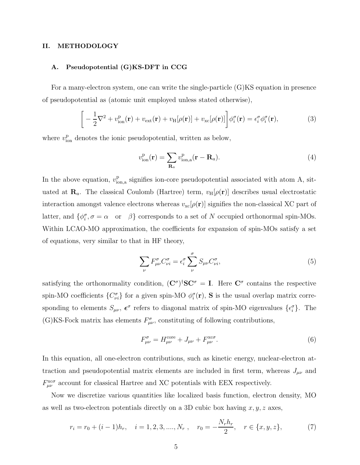## II. METHODOLOGY

## A. Pseudopotential (G)KS-DFT in CCG

For a many-electron system, one can write the single-particle (G)KS equation in presence of pseudopotential as (atomic unit employed unless stated otherwise),

$$
\[ -\frac{1}{2}\nabla^2 + v_{\text{ion}}^{\text{p}}(\mathbf{r}) + v_{\text{ext}}(\mathbf{r}) + v_{\text{H}}[\rho(\mathbf{r})] + v_{\text{xc}}[\rho(\mathbf{r})] \] \phi_i^{\sigma}(\mathbf{r}) = \epsilon_i^{\sigma} \phi_i^{\sigma}(\mathbf{r}), \tag{3}
$$

where  $v_{\text{ion}}^{\text{p}}$  denotes the ionic pseudopotential, written as below,

$$
v_{\text{ion}}^{\text{p}}(\mathbf{r}) = \sum_{\mathbf{R}_a} v_{\text{ion},a}^{\text{p}}(\mathbf{r} - \mathbf{R}_a). \tag{4}
$$

In the above equation,  $v_{\text{ic}}^{\text{p}}$  $_{\text{ion},a}^{\text{p}}$  signifies ion-core pseudopotential associated with atom A, situated at  $\mathbf{R}_a$ . The classical Coulomb (Hartree) term,  $v_H[\rho(\mathbf{r})]$  describes usual electrostatic interaction amongst valence electrons whereas  $v_{\rm xc}[\rho({\bf r})]$  signifies the non-classical XC part of latter, and  $\{\phi_i^{\sigma}, \sigma = \alpha \text{ or } \beta\}$  corresponds to a set of N occupied orthonormal spin-MOs. Within LCAO-MO approximation, the coefficients for expansion of spin-MOs satisfy a set of equations, very similar to that in HF theory,

$$
\sum_{\nu} F^{\sigma}_{\mu\nu} C^{\sigma}_{\nu i} = \epsilon^{\sigma}_i \sum_{\nu}^{\sigma} S_{\mu\nu} C^{\sigma}_{\nu i}, \tag{5}
$$

satisfying the orthonormality condition,  $(C^{\sigma})^{\dagger}SC^{\sigma} = I$ . Here  $C^{\sigma}$  contains the respective spin-MO coefficients  $\{C_{\nu i}^{\sigma}\}\$  for a given spin-MO  $\phi_i^{\sigma}(\mathbf{r})$ , **S** is the usual overlap matrix corresponding to elements  $S_{\mu\nu}$ ,  $\epsilon^{\sigma}$  refers to diagonal matrix of spin-MO eigenvalues  $\{\epsilon_i^{\sigma}\}$ . The (G)KS-Fock matrix has elements  $F^{\sigma}_{\mu\nu}$ , constituting of following contributions,

$$
F^{\sigma}_{\mu\nu} = H^{\text{core}}_{\mu\nu} + J_{\mu\nu} + F^{\text{xc}\sigma}_{\mu\nu}.
$$
 (6)

In this equation, all one-electron contributions, such as kinetic energy, nuclear-electron attraction and pseudopotential matrix elements are included in first term, whereas  $J_{\mu\nu}$  and  $F_{\mu\nu}^{\text{xc}\sigma}$  account for classical Hartree and XC potentials with EEX respectively.

Now we discretize various quantities like localized basis function, electron density, MO as well as two-electron potentials directly on a 3D cubic box having  $x, y, z$  axes,

$$
r_i = r_0 + (i - 1)h_r, \quad i = 1, 2, 3, \dots, N_r, \quad r_0 = -\frac{N_r h_r}{2}, \quad r \in \{x, y, z\},\tag{7}
$$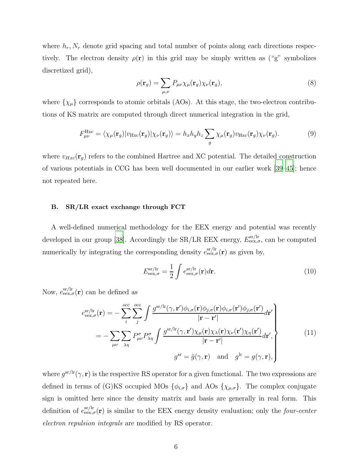where  $h_r$ ,  $N_r$  denote grid spacing and total number of points along each directions respectively. The electron density  $\rho(\mathbf{r})$  in this grid may be simply written as ("g" symbolizes discretized grid),

$$
\rho(\mathbf{r}_g) = \sum_{\mu,\nu} P_{\mu\nu} \chi_{\mu}(\mathbf{r}_g) \chi_{\nu}(\mathbf{r}_g), \tag{8}
$$

where  $\{\chi_{\mu}\}$  corresponds to atomic orbitals (AOs). At this stage, the two-electron contributions of KS matrix are computed through direct numerical integration in the grid,

$$
F_{\mu\nu}^{\text{Hxc}} = \langle \chi_{\mu}(\mathbf{r}_g) | v_{\text{Hxc}}(\mathbf{r}_g) | \chi_{\nu}(\mathbf{r}_g) \rangle = h_x h_y h_z \sum_g \chi_{\mu}(\mathbf{r}_g) v_{\text{Hxc}}(\mathbf{r}_g) \chi_{\nu}(\mathbf{r}_g). \tag{9}
$$

where  $v_{Hxc}(\mathbf{r}_g)$  refers to the combined Hartree and XC potential. The detailed construction of various potentials in CCG has been well documented in our earlier work [\[39](#page-31-5)[–45\]](#page-31-6); hence not repeated here.

## B. SR/LR exact exchange through FCT

A well-defined numerical methodology for the EEX energy and potential was recently developed in our group [\[38\]](#page-31-3). Accordingly the SR/LR EEX energy,  $E_{\text{eex},\sigma}^{\text{sr/lr}}$ , can be computed numerically by integrating the corresponding density  $e_{\text{eex},\sigma}^{\text{sr}/\text{lr}}(\mathbf{r})$  as given by,

$$
E_{\text{eex},\sigma}^{\text{sr/lr}} = \frac{1}{2} \int e_{\text{eex},\sigma}^{\text{sr/lr}}(\mathbf{r}) d\mathbf{r}.
$$
 (10)

Now,  $e_{\text{eex},\sigma}^{\text{sr/lr}}(\mathbf{r})$  can be defined as

$$
e_{\text{eex},\sigma}^{\text{sr/lr}}(\mathbf{r}) = -\sum_{i}^{\text{occ}} \sum_{j}^{\text{occ}} \int \frac{g^{\text{sr/lr}}(\gamma,\mathbf{r}')\phi_{i,\sigma}(\mathbf{r})\phi_{j,\sigma}(\mathbf{r})\phi_{j,\sigma}(\mathbf{r}')\phi_{j,\sigma}(\mathbf{r}')} d\mathbf{r}' \Bigg|_{\mathbf{r} - \mathbf{r}'|} = -\sum_{\mu\nu} \sum_{\lambda\eta} P^{\sigma}_{\mu\nu} P^{\sigma}_{\lambda\eta} \int \frac{g^{\text{sr/lr}}(\gamma,\mathbf{r}')\chi_{\mu}(\mathbf{r})\chi_{\lambda}(\mathbf{r})\chi_{\nu}(\mathbf{r}')\chi_{\eta}(\mathbf{r}')} {|\mathbf{r} - \mathbf{r}'|} d\mathbf{r}', g^{\text{sr}} = \tilde{g}(\gamma,\mathbf{r}) \text{ and } g^{\text{lr}} = g(\gamma,\mathbf{r}),
$$
(11)

where  $g^{\rm sr/lr}(\gamma, \mathbf{r})$  is the respective RS operator for a given functional. The two expressions are defined in terms of (G)KS occupied MOs  $\{\phi_{i,\sigma}\}\$  and AOs  $\{\chi_{\mu,\sigma}\}\$ . The complex conjugate sign is omitted here since the density matrix and basis are generally in real form. This definition of  $e_{\text{eex},\sigma}^{\text{sr/lr}}(\mathbf{r})$  is similar to the EEX energy density evaluation; only the *four-center* electron repulsion integrals are modified by RS operator.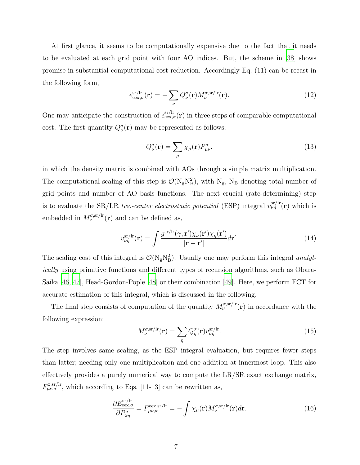At first glance, it seems to be computationally expensive due to the fact that it needs to be evaluated at each grid point with four AO indices. But, the scheme in [\[38](#page-31-3)] shows promise in substantial computational cost reduction. Accordingly Eq. (11) can be recast in the following form,

$$
e_{\text{eex},\sigma}^{\text{sr/lr}}(\mathbf{r}) = -\sum_{\nu} Q_{\nu}^{\sigma}(\mathbf{r}) M_{\nu}^{\sigma,\text{sr/lr}}(\mathbf{r}). \tag{12}
$$

One may anticipate the construction of  $e_{\text{eex},\sigma}^{\text{sr/lr}}(\mathbf{r})$  in three steps of comparable computational cost. The first quantity  $Q_{\nu}^{\sigma}(\mathbf{r})$  may be represented as follows:

$$
Q_{\nu}^{\sigma}(\mathbf{r}) = \sum_{\mu} \chi_{\mu}(\mathbf{r}) P_{\mu\nu}^{\sigma}, \qquad (13)
$$

in which the density matrix is combined with AOs through a simple matrix multiplication. The computational scaling of this step is  $\mathcal{O}(N_gN_B^2)$ , with  $N_g$ ,  $N_B$  denoting total number of grid points and number of AO basis functions. The next crucial (rate-determining) step is to evaluate the SR/LR *two-center electrostatic potential* (ESP) integral  $v_{\nu\eta}^{\rm sr/lr}(\mathbf{r})$  which is embedded in  $M_{\nu}^{\sigma,\text{sr/lr}}(\mathbf{r})$  and can be defined as,

$$
v_{\nu\eta}^{\text{sr/lr}}(\mathbf{r}) = \int \frac{g^{\text{sr/lr}}(\gamma, \mathbf{r}')\chi_{\nu}(\mathbf{r}')\chi_{\eta}(\mathbf{r}')}{|\mathbf{r} - \mathbf{r}'|} d\mathbf{r}'. \tag{14}
$$

The scaling cost of this integral is  $\mathcal{O}(N_gN_B^2)$ . Usually one may perform this integral *analyt*ically using primitive functions and different types of recursion algorithms, such as Obara-Saika [\[46](#page-31-7), [47\]](#page-31-8), Head-Gordon-Pople [\[48](#page-31-9)] or their combination [\[49](#page-31-10)]. Here, we perform FCT for accurate estimation of this integral, which is discussed in the following.

The final step consists of computation of the quantity  $M_{\nu}^{\sigma,\text{sr/lr}}(\mathbf{r})$  in accordance with the following expression:

$$
M_{\nu}^{\sigma,\text{sr/lr}}(\mathbf{r}) = \sum_{\eta} Q_{\eta}^{\sigma}(\mathbf{r}) v_{\nu\eta}^{\text{sr/lr}}.
$$
 (15)

The step involves same scaling, as the ESP integral evaluation, but requires fewer steps than latter; needing only one multiplication and one addition at innermost loop. This also effectively provides a purely numerical way to compute the LR/SR exact exchange matrix,  $F_{\mu\nu,\sigma}^{\text{x,sr/lr}}$ , which according to Eqs. [11-13] can be rewritten as,

$$
\frac{\partial E_{\text{eex},\sigma}^{\text{sr/lr}}}{\partial P_{\lambda\eta}^{\sigma}} = F_{\mu\nu,\sigma}^{\text{eex,sr/lr}} = -\int \chi_{\mu}(\mathbf{r}) M_{\nu}^{\sigma,\text{sr/lr}}(\mathbf{r}) d\mathbf{r}.
$$
\n(16)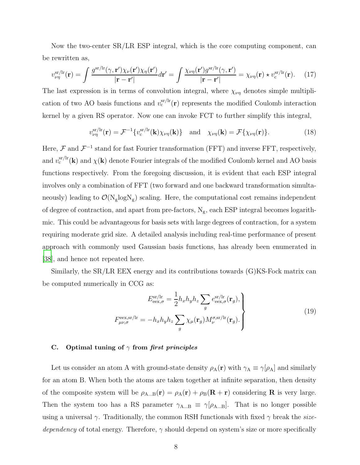Now the two-center SR/LR ESP integral, which is the core computing component, can be rewritten as,

$$
v_{\nu\eta}^{\text{sr/lr}}(\mathbf{r}) = \int \frac{g^{\text{sr/lr}}(\gamma, \mathbf{r}')\chi_{\nu}(\mathbf{r}')\chi_{\eta}(\mathbf{r}')}{|\mathbf{r} - \mathbf{r}'|} d\mathbf{r}' = \int \frac{\chi_{\nu\eta}(\mathbf{r}')g^{\text{sr/lr}}(\gamma, \mathbf{r}')}{|\mathbf{r} - \mathbf{r}'|} = \chi_{\nu\eta}(\mathbf{r}) \star v_{\text{c}}^{\text{sr/lr}}(\mathbf{r}). \tag{17}
$$

The last expression is in terms of convolution integral, where  $\chi_{\nu\eta}$  denotes simple multiplication of two AO basis functions and  $v_c^{\text{sr/lr}}(\mathbf{r})$  represents the modified Coulomb interaction kernel by a given RS operator. Now one can invoke FCT to further simplify this integral,

$$
v_{\nu\eta}^{\text{sr/lr}}(\mathbf{r}) = \mathcal{F}^{-1}\{v_{\text{c}}^{\text{sr/lr}}(\mathbf{k})\chi_{\nu\eta}(\mathbf{k})\} \quad \text{and} \quad \chi_{\nu\eta}(\mathbf{k}) = \mathcal{F}\{\chi_{\nu\eta}(\mathbf{r})\}.
$$
 (18)

Here,  $\mathcal F$  and  $\mathcal F^{-1}$  stand for fast Fourier transformation (FFT) and inverse FFT, respectively, and  $v_c^{\text{sr/lr}}(\mathbf{k})$  and  $\chi(\mathbf{k})$  denote Fourier integrals of the modified Coulomb kernel and AO basis functions respectively. From the foregoing discussion, it is evident that each ESP integral involves only a combination of FFT (two forward and one backward transformation simultaneously) leading to  $\mathcal{O}(N_g \log N_g)$  scaling. Here, the computational cost remains independent of degree of contraction, and apart from pre-factors,  $N_g$ , each ESP integral becomes logarithmic. This could be advantageous for basis sets with large degrees of contraction, for a system requiring moderate grid size. A detailed analysis including real-time performance of present approach with commonly used Gaussian basis functions, has already been enumerated in [\[38](#page-31-3)], and hence not repeated here.

Similarly, the  $SR/LR$  EEX energy and its contributions towards  $(G)KS$ -Fock matrix can be computed numerically in CCG as:

$$
E_{\text{eex},\sigma}^{\text{sr/lr}} = \frac{1}{2} h_x h_y h_z \sum_g e_{\text{eex},\sigma}^{\text{sr/lr}}(\mathbf{r}_g),
$$
  

$$
F_{\mu\nu,\sigma}^{\text{eex,sr/lr}} = -h_x h_y h_z \sum_g \chi_\mu(\mathbf{r}_g) M_\nu^{\sigma,\text{sr/lr}}(\mathbf{r}_g).
$$
 (19)

#### C. Optimal tuning of  $\gamma$  from first principles

Let us consider an atom A with ground-state density  $\rho_A(\mathbf{r})$  with  $\gamma_A \equiv \gamma[\rho_A]$  and similarly for an atom B. When both the atoms are taken together at infinite separation, then density of the composite system will be  $\rho_{A...B}(\mathbf{r}) = \rho_A(\mathbf{r}) + \rho_B(\mathbf{R} + \mathbf{r})$  considering **R** is very large. Then the system too has a RS parameter  $\gamma_{A...B} \equiv \gamma[\rho_{A...B}]$ . That is no longer possible using a universal  $\gamma$ . Traditionally, the common RSH functionals with fixed  $\gamma$  break the sizedependency of total energy. Therefore,  $\gamma$  should depend on system's size or more specifically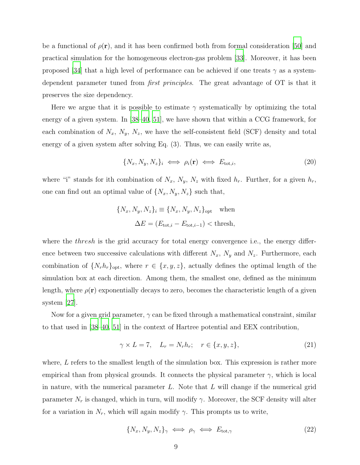be a functional of  $\rho(\mathbf{r})$ , and it has been confirmed both from formal consideration [\[50](#page-31-11)] and practical simulation for the homogeneous electron-gas problem [\[33\]](#page-30-25). Moreover, it has been proposed [\[34\]](#page-30-26) that a high level of performance can be achieved if one treats  $\gamma$  as a systemdependent parameter tuned from first principles. The great advantage of OT is that it preserves the size dependency.

Here we argue that it is possible to estimate  $\gamma$  systematically by optimizing the total energy of a given system. In [\[38](#page-31-3)[–40](#page-31-4), [51](#page-31-12)], we have shown that within a CCG framework, for each combination of  $N_x$ ,  $N_y$ ,  $N_z$ , we have the self-consistent field (SCF) density and total energy of a given system after solving Eq. (3). Thus, we can easily write as,

$$
\{N_x, N_y, N_z\}_i \iff \rho_i(\mathbf{r}) \iff E_{\text{tot},i},\tag{20}
$$

where "i" stands for ith combination of  $N_x$ ,  $N_y$ ,  $N_z$  with fixed  $h_r$ . Further, for a given  $h_r$ , one can find out an optimal value of  $\{N_x, N_y, N_z\}$  such that,

$$
\{N_x, N_y, N_z\}_i \equiv \{N_x, N_y, N_z\}_{\text{opt}} \quad \text{when}
$$

$$
\Delta E = (E_{\text{tot},i} - E_{\text{tot},i-1}) < \text{thresh},
$$

where the *thresh* is the grid accuracy for total energy convergence i.e., the energy difference between two successive calculations with different  $N_x$ ,  $N_y$  and  $N_z$ . Furthermore, each combination of  $\{N_r h_r\}_{\text{opt}}$ , where  $r \in \{x, y, z\}$ , actually defines the optimal length of the simulation box at each direction. Among them, the smallest one, defined as the minimum length, where  $\rho(\mathbf{r})$  exponentially decays to zero, becomes the characteristic length of a given system [\[27\]](#page-30-21).

Now for a given grid parameter,  $\gamma$  can be fixed through a mathematical constraint, similar to that used in [\[38](#page-31-3)[–40,](#page-31-4) [51\]](#page-31-12) in the context of Hartree potential and EEX contribution,

$$
\gamma \times L = 7, \quad L_r = N_r h_r; \quad r \in \{x, y, z\},\tag{21}
$$

where, L refers to the smallest length of the simulation box. This expression is rather more empirical than from physical grounds. It connects the physical parameter  $\gamma$ , which is local in nature, with the numerical parameter  $L$ . Note that  $L$  will change if the numerical grid parameter  $N_r$  is changed, which in turn, will modify  $\gamma$ . Moreover, the SCF density will alter for a variation in  $N_r$ , which will again modify  $\gamma$ . This prompts us to write,

$$
\{N_x, N_y, N_z\}_{\gamma} \iff \rho_{\gamma} \iff E_{\text{tot}, \gamma} \tag{22}
$$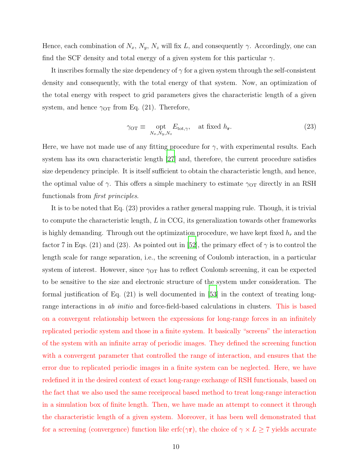Hence, each combination of  $N_x$ ,  $N_y$ ,  $N_z$  will fix L, and consequently  $\gamma$ . Accordingly, one can find the SCF density and total energy of a given system for this particular  $\gamma$ .

It inscribes formally the size dependency of  $\gamma$  for a given system through the self-consistent density and consequently, with the total energy of that system. Now, an optimization of the total energy with respect to grid parameters gives the characteristic length of a given system, and hence  $\gamma_{\text{OT}}$  from Eq. (21). Therefore,

$$
\gamma_{\text{OT}} \equiv \det_{N_x, N_y, N_z} E_{\text{tot}, \gamma}, \quad \text{at fixed } h_{\mathbf{r}}.
$$
 (23)

Here, we have not made use of any fitting procedure for  $\gamma$ , with experimental results. Each system has its own characteristic length [\[27\]](#page-30-21) and, therefore, the current procedure satisfies size dependency principle. It is itself sufficient to obtain the characteristic length, and hence, the optimal value of  $\gamma$ . This offers a simple machinery to estimate  $\gamma_{\text{OT}}$  directly in an RSH functionals from first principles.

It is to be noted that Eq. (23) provides a rather general mapping rule. Though, it is trivial to compute the characteristic length, L in CCG, its generalization towards other frameworks is highly demanding. Through out the optimization procedure, we have kept fixed  $h_r$  and the factor 7 in Eqs. (21) and (23). As pointed out in [\[52\]](#page-31-13), the primary effect of  $\gamma$  is to control the length scale for range separation, i.e., the screening of Coulomb interaction, in a particular system of interest. However, since  $\gamma_{\text{OT}}$  has to reflect Coulomb screening, it can be expected to be sensitive to the size and electronic structure of the system under consideration. The formal justification of Eq. (21) is well documented in [\[53\]](#page-31-14) in the context of treating longrange interactions in *ab initio* and force-field-based calculations in clusters. This is based on a convergent relationship between the expressions for long-range forces in an infinitely replicated periodic system and those in a finite system. It basically "screens" the interaction of the system with an infinite array of periodic images. They defined the screening function with a convergent parameter that controlled the range of interaction, and ensures that the error due to replicated periodic images in a finite system can be neglected. Here, we have redefined it in the desired context of exact long-range exchange of RSH functionals, based on the fact that we also used the same receiprocal based method to treat long-range interaction in a simulation box of finite length. Then, we have made an attempt to connect it through the characteristic length of a given system. Moreover, it has been well demonstrated that for a screening (convergence) function like erfc( $\gamma r$ ), the choice of  $\gamma \times L \ge 7$  yields accurate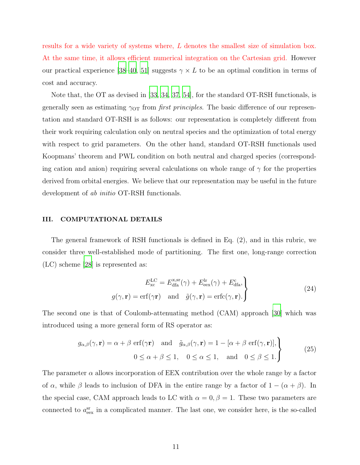results for a wide variety of systems where, L denotes the smallest size of simulation box. At the same time, it allows efficient numerical integration on the Cartesian grid. However our practical experience [\[38](#page-31-3)[–40,](#page-31-4) [51](#page-31-12)] suggests  $\gamma \times L$  to be an optimal condition in terms of cost and accuracy.

Note that, the OT as devised in [\[33](#page-30-25), [34,](#page-30-26) [37,](#page-31-2) [54\]](#page-31-15), for the standard OT-RSH functionals, is generally seen as estimating  $\gamma_{\text{OT}}$  from *first principles*. The basic difference of our representation and standard OT-RSH is as follows: our representation is completely different from their work requiring calculation only on neutral species and the optimization of total energy with respect to grid parameters. On the other hand, standard OT-RSH functionals used Koopmans' theorem and PWL condition on both neutral and charged species (corresponding cation and anion) requiring several calculations on whole range of  $\gamma$  for the properties derived from orbital energies. We believe that our representation may be useful in the future development of *ab initio* OT-RSH functionals.

## III. COMPUTATIONAL DETAILS

The general framework of RSH functionals is defined in Eq. (2), and in this rubric, we consider three well-established mode of partitioning. The first one, long-range correction (LC) scheme [\[28\]](#page-30-22) is represented as:

$$
E_{\rm xc}^{\rm LC} = E_{\rm dfa}^{\rm x,sr}(\gamma) + E_{\rm eex}^{\rm lr}(\gamma) + E_{\rm dfa}^{\rm c},
$$
  

$$
g(\gamma, \mathbf{r}) = \text{erf}(\gamma \mathbf{r}) \quad \text{and} \quad \tilde{g}(\gamma, \mathbf{r}) = \text{erfc}(\gamma, \mathbf{r}).
$$
 (24)

The second one is that of Coulomb-attenuating method (CAM) approach [\[30\]](#page-30-27) which was introduced using a more general form of RS operator as:

$$
g_{\alpha,\beta}(\gamma, \mathbf{r}) = \alpha + \beta \operatorname{erf}(\gamma \mathbf{r}) \quad \text{and} \quad \tilde{g}_{\alpha,\beta}(\gamma, \mathbf{r}) = 1 - [\alpha + \beta \operatorname{erf}(\gamma, \mathbf{r})],
$$
  

$$
0 \le \alpha + \beta \le 1, \quad 0 \le \alpha \le 1, \quad \text{and} \quad 0 \le \beta \le 1.
$$
 (25)

The parameter  $\alpha$  allows incorporation of EEX contribution over the whole range by a factor of  $\alpha$ , while  $\beta$  leads to inclusion of DFA in the entire range by a factor of  $1 - (\alpha + \beta)$ . In the special case, CAM approach leads to LC with  $\alpha = 0, \beta = 1$ . These two parameters are connected to  $a_{\text{eex}}^{\text{sr}}$  in a complicated manner. The last one, we consider here, is the so-called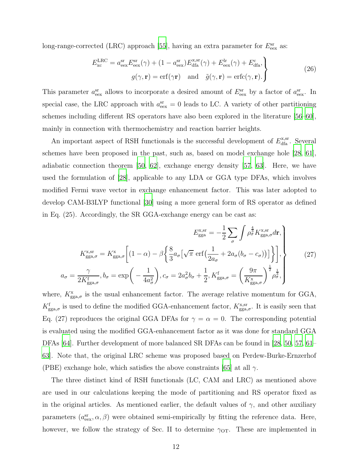long-range-corrected (LRC) approach [\[55](#page-31-16)], having an extra parameter for  $E_{\text{eex}}^{\text{sr}}$  as:

$$
E_{\rm xc}^{\rm LRC} = a_{\rm eex}^{\rm sr} E_{\rm eex}^{\rm sr}(\gamma) + (1 - a_{\rm eex}^{\rm sr}) E_{\rm dfa}^{\rm s, sr}(\gamma) + E_{\rm eex}^{\rm lr}(\gamma) + E_{\rm dfa}^{\rm c},
$$
  

$$
g(\gamma, \mathbf{r}) = \text{erf}(\gamma \mathbf{r}) \quad \text{and} \quad \tilde{g}(\gamma, \mathbf{r}) = \text{erfc}(\gamma, \mathbf{r}).
$$
 (26)

This parameter  $a_{\text{eex}}^{\text{sr}}$  allows to incorporate a desired amount of  $E_{\text{eex}}^{\text{sr}}$  by a factor of  $a_{\text{eex}}^{\text{sr}}$ . In special case, the LRC approach with  $a_{\text{eex}}^{\text{sr}} = 0$  leads to LC. A variety of other partitioning schemes including different RS operators have also been explored in the literature [\[56](#page-31-17)[–60\]](#page-31-18), mainly in connection with thermochemistry and reaction barrier heights.

An important aspect of RSH functionals is the successful development of  $E_{\text{dfa}}^{\text{x,sr}}$ . Several schemes have been proposed in the past, such as, based on model exchange hole [\[28](#page-30-22), [61\]](#page-32-0), adiabatic connection theorem [\[50](#page-31-11), [62\]](#page-32-1), exchange energy density [\[57,](#page-31-19) [63](#page-32-2)]. Here, we have used the formulation of [\[28\]](#page-30-22), applicable to any LDA or GGA type DFAs, which involves modified Fermi wave vector in exchange enhancement factor. This was later adopted to develop CAM-B3LYP functional [\[30\]](#page-30-27) using a more general form of RS operator as defined in Eq. (25). Accordingly, the SR GGA-exchange energy can be cast as:

$$
E_{\rm gga}^{\rm x,sr} = -\frac{1}{2} \sum_{\sigma} \int \rho_{\sigma}^{\frac{4}{3}} K_{\rm gga,\sigma}^{\rm x,sr} d\mathbf{r},
$$

$$
K_{\rm gga,\sigma}^{\rm x,sr} = K_{\rm gga,\sigma}^{\rm x} \left[ (1-\alpha) - \beta \left\{ \frac{8}{3} a_{\sigma} \left[ \sqrt{\pi} \, \text{erf} \left( \frac{1}{2a_{\sigma}} + 2a_{\sigma} (b_{\sigma} - c_{\sigma}) \right) \right] \right\} \right],
$$

$$
a_{\sigma} = \frac{\gamma}{2K_{\rm gga,\sigma}^{\rm f}}, b_{\sigma} = \exp \left( -\frac{1}{4a_{\sigma}^{2}} \right), c_{\sigma} = 2a_{\sigma}^{2} b_{\sigma} + \frac{1}{2}, K_{\rm gga,\sigma}^{\rm f} = \left( \frac{9\pi}{K_{\rm gga,\sigma}^{\rm x}} \right)^{\frac{1}{2}} \rho_{\sigma}^{\frac{1}{3}},
$$
(27)

where,  $K_{\text{gga},\sigma}^{\text{x}}$  is the usual enhancement factor. The average relative momentum for GGA,  $K_{\text{gga},\sigma}^{\text{f}}$  is used to define the modified GGA-enhancement factor,  $K_{\text{gga},\sigma}^{\text{x,sr}}$ . It is easily seen that Eq. (27) reproduces the original GGA DFAs for  $\gamma = \alpha = 0$ . The corresponding potential is evaluated using the modified GGA-enhancement factor as it was done for standard GGA DFAs [\[64](#page-32-3)]. Further development of more balanced SR DFAs can be found in [\[28](#page-30-22), [50,](#page-31-11) [57](#page-31-19), [61](#page-32-0)– [63\]](#page-32-2). Note that, the original LRC scheme was proposed based on Perdew-Burke-Ernzerhof (PBE) exchange hole, which satisfies the above constraints [\[65\]](#page-32-4) at all  $\gamma$ .

The three distinct kind of RSH functionals (LC, CAM and LRC) as mentioned above are used in our calculations keeping the mode of partitioning and RS operator fixed as in the original articles. As mentioned earlier, the default values of  $\gamma$ , and other auxiliary parameters  $(a_{\text{eex}}^{\text{sr}}, \alpha, \beta)$  were obtained semi-empirically by fitting the reference data. Here, however, we follow the strategy of Sec. II to determine  $\gamma_{\text{OT}}$ . These are implemented in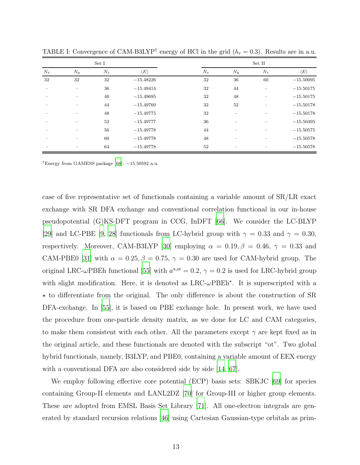|       |       | Set I |                     |       |       | Set II |                     |
|-------|-------|-------|---------------------|-------|-------|--------|---------------------|
| $N_x$ | $N_y$ | $N_z$ | $\langle E \rangle$ | $N_x$ | $N_y$ | $N_z$  | $\langle E \rangle$ |
| 32    | 32    | 32    | $-15.48226$         | 32    | 36    | 60     | $-15.50095$         |
|       |       | 36    | $-15.49414$         | 32    | 44    |        | $-15.50175$         |
|       |       | 40    | $-15.49695$         | 32    | 48    |        | $-15.50175$         |
|       |       | 44    | $-15.49760$         | 32    | 52    |        | $-15.50178$         |
|       |       | 48    | $-15.49775$         | 32    |       |        | $-15.50178$         |
|       |       | 52    | $-15.49777$         | 36    |       |        | $-15.50495$         |
|       |       | 56    | $-15.49778$         | 44    |       |        | $-15.50575$         |
|       |       | 60    | $-15.49778$         | 48    |       |        | $-15.50578$         |
|       |       | 64    | $-15.49778$         | 52    |       |        | $-15.50578$         |

TABLE I: Convergence of CAM-B3LYP<sup>†</sup> energy of HCl in the grid  $(h_r = 0.3)$ . Results are in a.u.

†Energy from GAMESS package [\[68](#page-32-5)]: −15.50592 a.u.

case of five representative set of functionals containing a variable amount of SR/LR exact exchange with SR DFA exchange and conventional correlation functional in our in-house pseudopotential  $(G)$ KS-DFT program in CCG, InDFT  $|66|$ . We consider the LC-BLYP [\[29](#page-30-28)] and LC-PBE [\[9,](#page-30-3) [28\]](#page-30-22) functionals from LC-hybrid group with  $\gamma = 0.33$  and  $\gamma = 0.30$ , respectively. Moreover, CAM-B3LYP [\[30](#page-30-27)] employing  $\alpha = 0.19, \beta = 0.46, \gamma = 0.33$  and CAM-PBE0 [\[31](#page-30-23)] with  $\alpha = 0.25, \beta = 0.75, \gamma = 0.30$  are used for CAM-hybrid group. The original LRC- $\omega$ PBEh functional [\[55\]](#page-31-16) with  $a^{x,sr} = 0.2$ ,  $\gamma = 0.2$  is used for LRC-hybrid group with slight modification. Here, it is denoted as  $LRC-\omega PBEh^*$ . It is superscripted with a  $\star$  to differentiate from the original. The only difference is about the construction of SR DFA-exchange. In [\[55](#page-31-16)], it is based on PBE exchange hole. In present work, we have used the procedure from one-particle density matrix, as we done for LC and CAM categories, to make them consistent with each other. All the parameters except  $\gamma$  are kept fixed as in the original article, and these functionals are denoted with the subscript "ot". Two global hybrid functionals, namely, B3LYP, and PBE0, containing a variable amount of EEX energy with a conventional DFA are also considered side by side [\[14,](#page-30-8) [67](#page-32-7)].

We employ following effective core potential (ECP) basis sets: SBKJC [\[69\]](#page-32-8) for species containing Group-II elements and LANL2DZ [\[70](#page-32-9)] for Group-III or higher group elements. These are adopted from EMSL Basis Set Library [\[71](#page-32-10)]. All one-electron integrals are generated by standard recursion relations [\[46\]](#page-31-7) using Cartesian Gaussian-type orbitals as prim-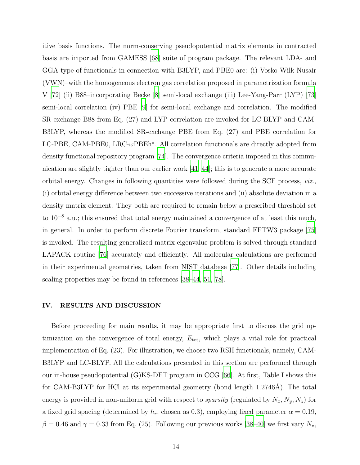itive basis functions. The norm-conserving pseudopotential matrix elements in contracted basis are imported from GAMESS [\[68\]](#page-32-5) suite of program package. The relevant LDA- and GGA-type of functionals in connection with B3LYP, and PBE0 are: (i) Vosko-Wilk-Nusair (VWN)–with the homogeneous electron gas correlation proposed in parametrization formula V [\[72](#page-32-11)] (ii) B88–incorporating Becke [\[8](#page-30-2)] semi-local exchange (iii) Lee-Yang-Parr (LYP) [\[73\]](#page-32-12) semi-local correlation (iv) PBE [\[9\]](#page-30-3) for semi-local exchange and correlation. The modified SR-exchange B88 from Eq. (27) and LYP correlation are invoked for LC-BLYP and CAM-B3LYP, whereas the modified SR-exchange PBE from Eq. (27) and PBE correlation for LC-PBE, CAM-PBE0, LRC- $\omega$ PBEh<sup>\*</sup>. All correlation functionals are directly adopted from density functional repository program [\[74\]](#page-32-13). The convergence criteria imposed in this communication are slightly tighter than our earlier work  $|41-44|$ ; this is to generate a more accurate orbital energy. Changes in following quantities were followed during the SCF process, viz., (i) orbital energy difference between two successive iterations and (ii) absolute deviation in a density matrix element. They both are required to remain below a prescribed threshold set to 10<sup>−</sup><sup>8</sup> a.u.; this ensured that total energy maintained a convergence of at least this much, in general. In order to perform discrete Fourier transform, standard FFTW3 package [\[75\]](#page-32-14) is invoked. The resulting generalized matrix-eigenvalue problem is solved through standard LAPACK routine [\[76\]](#page-32-15) accurately and efficiently. All molecular calculations are performed in their experimental geometries, taken from NIST database [\[77](#page-32-16)]. Other details including scaling properties may be found in references [\[38](#page-31-3)[–44,](#page-31-21) [51](#page-31-12), [78](#page-32-17)].

## IV. RESULTS AND DISCUSSION

Before proceeding for main results, it may be appropriate first to discuss the grid optimization on the convergence of total energy,  $E_{\text{tot}}$ , which plays a vital role for practical implementation of Eq. (23). For illustration, we choose two RSH functionals, namely, CAM-B3LYP and LC-BLYP. All the calculations presented in this section are performed through our in-house pseudopotential (G)KS-DFT program in CCG [\[66](#page-32-6)]. At first, Table I shows this for CAM-B3LYP for HCl at its experimental geometry (bond length  $1.2746\text{\AA}$ ). The total energy is provided in non-uniform grid with respect to *sparsity* (regulated by  $N_x, N_y, N_z$ ) for a fixed grid spacing (determined by  $h_r$ , chosen as 0.3), employing fixed parameter  $\alpha = 0.19$ ,  $\beta = 0.46$  and  $\gamma = 0.33$  from Eq. (25). Following our previous works [\[38](#page-31-3)[–40\]](#page-31-4) we first vary  $N_z$ ,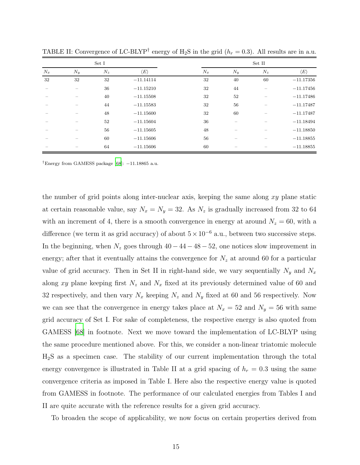|       |       | Set I |                     |       |       |       |                     |
|-------|-------|-------|---------------------|-------|-------|-------|---------------------|
| $N_x$ | $N_y$ | $N_z$ | $\langle E \rangle$ | $N_x$ | $N_y$ | $N_z$ | $\langle E \rangle$ |
| 32    | 32    | 32    | $-11.14114$         | 32    | 40    | 60    | $-11.17356$         |
|       |       | 36    | $-11.15210$         | 32    | 44    |       | $-11.17456$         |
|       |       | 40    | $-11.15508$         | 32    | 52    |       | $-11.17486$         |
|       |       | 44    | $-11.15583$         | 32    | 56    |       | $-11.17487$         |
|       |       | 48    | $-11.15600$         | 32    | 60    |       | $-11.17487$         |
|       |       | 52    | $-11.15604$         | 36    |       |       | $-11.18494$         |
|       |       | 56    | $-11.15605$         | 48    |       |       | $-11.18850$         |
|       |       | 60    | $-11.15606$         | 56    |       |       | $-11.18855$         |
|       |       | 64    | $-11.15606$         | 60    |       |       | $-11.18855$         |

TABLE II: Convergence of LC-BLYP<sup>†</sup> energy of H<sub>2</sub>S in the grid ( $h_r = 0.3$ ). All results are in a.u.

†Energy from GAMESS package [\[68](#page-32-5)]: −11.18865 a.u.

the number of grid points along inter-nuclear axis, keeping the same along xy plane static at certain reasonable value, say  $N_x = N_y = 32$ . As  $N_z$  is gradually increased from 32 to 64 with an increment of 4, there is a smooth convergence in energy at around  $N_z = 60$ , with a difference (we term it as grid accuracy) of about  $5 \times 10^{-6}$  a.u., between two successive steps. In the beginning, when  $N_z$  goes through  $40 - 44 - 48 - 52$ , one notices slow improvement in energy; after that it eventually attains the convergence for  $N_z$  at around 60 for a particular value of grid accuracy. Then in Set II in right-hand side, we vary sequentially  $N_y$  and  $N_x$ along xy plane keeping first  $N_z$  and  $N_x$  fixed at its previously determined value of 60 and 32 respectively, and then vary  $N_x$  keeping  $N_z$  and  $N_y$  fixed at 60 and 56 respectively. Now we can see that the convergence in energy takes place at  $N_x = 52$  and  $N_y = 56$  with same grid accuracy of Set I. For sake of completeness, the respective energy is also quoted from GAMESS [\[68](#page-32-5)] in footnote. Next we move toward the implementation of LC-BLYP using the same procedure mentioned above. For this, we consider a non-linear triatomic molecule H2S as a specimen case. The stability of our current implementation through the total energy convergence is illustrated in Table II at a grid spacing of  $h_r = 0.3$  using the same convergence criteria as imposed in Table I. Here also the respective energy value is quoted from GAMESS in footnote. The performance of our calculated energies from Tables I and II are quite accurate with the reference results for a given grid accuracy.

To broaden the scope of applicability, we now focus on certain properties derived from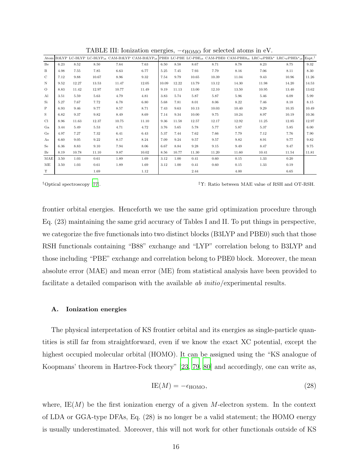|             |      |       |       |       |       |       |       |       |       |       |       | Atom B3LYP LC-BLYP LC-BLYP <sub>ot</sub> CAM-B3LYP CAM-B3LYP <sub>ot</sub> PBE0 LC-PBE LC-PBE <sub>0t</sub> CAM-PBE0 CAM-PBE0 <sub>0t</sub> LRC- $\omega$ PBEh <sup>*</sup> LRC- $\omega$ PBEh <sup>*</sup> <sub>ot</sub> | $Expt.$ <sup>†</sup> |
|-------------|------|-------|-------|-------|-------|-------|-------|-------|-------|-------|-------|---------------------------------------------------------------------------------------------------------------------------------------------------------------------------------------------------------------------------|----------------------|
| Be          | 6.23 | 8.52  | 8.50  | 7.64  | 7.63  | 6.50  | 8.58  | 8.67  | 8.71  | 8.78  | 8.23  | 8.75                                                                                                                                                                                                                      | 9.32                 |
| B           | 4.98 | 7.55  | 7.85  | 6.63  | 6.77  | 5.25  | 7.45  | 7.93  | 7.79  | 8.16  | 7.06  | 8.11                                                                                                                                                                                                                      | 8.30                 |
| $\mathbf C$ | 7.12 | 9.88  | 10.67 | 8.96  | 9.32  | 7.54  | 9.79  | 10.65 | 10.39 | 11.04 | 9.43  | 10.96                                                                                                                                                                                                                     | 11.26                |
| N           | 9.52 | 12.27 | 13.53 | 11.47 | 12.05 | 10.09 | 12.22 | 13.79 | 13.12 | 14.30 | 11.98 | 14.20                                                                                                                                                                                                                     | 14.53                |
| $\Omega$    | 8.83 | 11.42 | 12.97 | 10.77 | 11.49 | 9.19  | 11.13 | 13.00 | 12.10 | 13.50 | 10.95 | 13.40                                                                                                                                                                                                                     | 13.62                |
| Al          | 3.51 | 5.59  | 5.63  | 4.79  | 4.81  | 3.83  | 5.74  | 5.87  | 5.87  | 5.96  | 5.46  | 6.09                                                                                                                                                                                                                      | 5.99                 |
| Si          | 5.27 | 7.67  | 7.72  | 6.78  | 6.80  | 5.68  | 7.81  | 8.01  | 8.06  | 8.22  | 7.46  | 8.18                                                                                                                                                                                                                      | 8.15                 |
| P           | 6.93 | 9.46  | 9.77  | 8.57  | 8.71  | 7.43  | 9.63  | 10.13 | 10.03 | 10.40 | 9.29  | 10.35                                                                                                                                                                                                                     | 10.49                |
| S           | 6.82 | 9.37  | 9.82  | 8.49  | 8.69  | 7.14  | 9.34  | 10.00 | 9.75  | 10.24 | 8.97  | 10.19                                                                                                                                                                                                                     | 10.36                |
| Cl.         | 8.96 | 11.63 | 12.37 | 10.75 | 11.10 | 9.36  | 11.58 | 12.57 | 12.17 | 12.92 | 11.25 | 12.85                                                                                                                                                                                                                     | 12.97                |
| Ga          | 3.44 | 5.49  | 5.53  | 4.71  | 4.72  | 3.76  | 5.65  | 5.78  | 5.77  | 5.87  | 5.37  | 5.85                                                                                                                                                                                                                      | 6.00                 |
| Ge          | 4.97 | 7.27  | 7.32  | 6.41  | 6.43  | 5.37  | 7.44  | 7.62  | 7.66  | 7.79  | 7.12  | 7.76                                                                                                                                                                                                                      | 7.90                 |
| As          | 6.60 | 9.05  | 9.22  | 8.17  | 8.24  | 7.09  | 9.24  | 9.57  | 9.57  | 9.82  | 8.91  | 9.77                                                                                                                                                                                                                      | 9.82                 |
| Se          | 6.36 | 8.83  | 9.10  | 7.94  | 8.06  | 6.67  | 8.84  | 9.28  | 9.15  | 9.49  | 8.47  | 9.47                                                                                                                                                                                                                      | 9.75                 |
| Br          | 8.19 | 10.78 | 11.10 | 9.87  | 10.02 | 8.56  | 10.77 | 11.30 | 11.20 | 11.60 | 10.41 | 11.54                                                                                                                                                                                                                     | 11.81                |
| MAE         | 3.50 | 1.03  | 0.61  | 1.89  | 1.69  | 3.12  | 1.00  | 0.41  | 0.60  | 0.15  | 1.33  | 0.20                                                                                                                                                                                                                      |                      |
| МE          | 3.50 | 1.03  | 0.61  | 1.89  | 1.69  | 3.12  | 1.00  | 0.41  | 0.60  | 0.15  | 1.33  | 0.19                                                                                                                                                                                                                      |                      |
| Υ           |      |       | 1.69  |       | 1.12  |       |       | 2.44  |       | 4.00  |       | 6.65                                                                                                                                                                                                                      |                      |

TABLE III: Ionization energies,  $-\epsilon_{\text{HOMO}}$  for selected atoms in eV.

†Optical spectroscopy [\[77\]](#page-32-16). ‡Υ: Ratio between MAE value of RSH and OT-RSH.

frontier orbital energies. Henceforth we use the same grid optimization procedure through Eq. (23) maintaining the same grid accuracy of Tables I and II. To put things in perspective, we categorize the five functionals into two distinct blocks (B3LYP and PBE0) such that those RSH functionals containing "B88" exchange and "LYP" correlation belong to B3LYP and those including "PBE" exchange and correlation belong to PBE0 block. Moreover, the mean absolute error (MAE) and mean error (ME) from statistical analysis have been provided to facilitate a detailed comparison with the available *ab initio*/experimental results.

#### A. Ionization energies

The physical interpretation of KS frontier orbital and its energies as single-particle quantities is still far from straightforward, even if we know the exact XC potential, except the highest occupied molecular orbital (HOMO). It can be assigned using the "KS analogue of Koopmans' theorem in Hartree-Fock theory" [\[23](#page-30-17), [79](#page-32-18), [80\]](#page-32-19) and accordingly, one can write as,

$$
IE(M) = -\epsilon_{\text{HOMO}},\tag{28}
$$

where,  $IE(M)$  be the first ionization energy of a given M-electron system. In the context of LDA or GGA-type DFAs, Eq. (28) is no longer be a valid statement; the HOMO energy is usually underestimated. Moreover, this will not work for other functionals outside of KS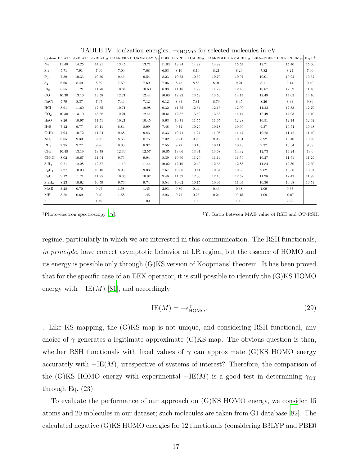|                                |       |       |       |       |       |       |       |       |       |         |       | System B3LYP LC-BLYP LC-BLYP <sub>ot</sub> CAM-B3LYP CAM-B3LYP <sub>ot</sub> PBE0 LC-PBE LC-PBE <sub>ot</sub> CAM-PBE0 CAM-PBE0 <sub>ot</sub> LRC- $\omega$ PBEh <sup>*</sup> LRC- $\omega$ PBEh <sup>*</sup> tRC- $\omega$ PBEh <sup>*</sup> t | $Expt.$ <sup>†</sup> |
|--------------------------------|-------|-------|-------|-------|-------|-------|-------|-------|-------|---------|-------|-------------------------------------------------------------------------------------------------------------------------------------------------------------------------------------------------------------------------------------------------|----------------------|
| $N_2$                          | 11.48 | 14.25 | 14.81 | 13.45 | 13.71 | 11.83 | 13.94 | 14.82 | 14.88 | 15.54   | 13.71 | 15.40                                                                                                                                                                                                                                           | 15.60                |
| $\mathrm{Si}_2$                | 5.71  | 7.91  | 7.90  | 7.09  | 7.08  | 6.03  | 8.10  | 8.16  | 8.21  | 8.26    | 7.82  | 8.24                                                                                                                                                                                                                                            | 7.90                 |
| P <sub>2</sub>                 | 7.89  | 10.33 | 10.50 | 9.46  | 9.54  | 8.23  | 10.33 | 10.69 | 10.70 | 10.97   | 10.01 | 10.92                                                                                                                                                                                                                                           | 10.62                |
| $S_2$                          | 6.66  | 8.49  | 8.69  | 7.59  | 7.69  | 7.06  | 8.45  | 8.86  | 8.91  | 9.21    | 8.11  | 9.14                                                                                                                                                                                                                                            | 9.40                 |
| Cl <sub>2</sub>                | 8.55  | 11.21 | 11.78 | 10.34 | 10.60 | 8.98  | 11.18 | 11.99 | 11.79 | 12.40   | 10.87 | 12.32                                                                                                                                                                                                                                           | 11.48                |
| $_{\rm CO}$                    | 10.30 | 13.10 | 13.58 | 12.21 | 12.44 | 10.60 | 12.82 | 13.59 | 13.56 | 14.14   | 12.49 | 14.03                                                                                                                                                                                                                                           | 14.10                |
| NaCl                           | 5.79  | 8.37  | 7.67  | 7.44  | 7.12  | 6.12  | 8.33  | 7.81  | 8.79  | 8.45    | 8.26  | 8.33                                                                                                                                                                                                                                            | 9.80                 |
| HCl                            | 8.91  | 11.60 | 12.35 | 10.71 | 10.98 | 9.32  | 11.55 | 12.54 | 12.15 | 12.90   | 11.22 | 12.83                                                                                                                                                                                                                                           | 12.79                |
| CO <sub>2</sub>                | 10.30 | 13.10 | 13.58 | 12.21 | 12.44 | 10.61 | 12.82 | 13.59 | 13.56 | 14.14   | 12.49 | 14.03                                                                                                                                                                                                                                           | 14.10                |
| $H_2O$                         | 8.26  | 10.97 | 11.51 | 10.21 | 10.45 | 8.63  | 10.71 | 11.55 | 11.65 | 12.28   | 10.51 | 12.14                                                                                                                                                                                                                                           | 12.62                |
| $H_2S$                         | 7.12  | 9.77  | 10.11 | 8.84  | 8.99  | 7.48  | 9.74  | 10.29 | 10.18 | 10.60   | 9.37  | 10.54                                                                                                                                                                                                                                           | 10.48                |
| $C_2H_2$                       | 7.94  | 10.72 | 11.04 | 9.68  | 9.83  | 8.33  | 10.71 | 11.24 | 11.08 | 11.47   | 10.28 | 11.42                                                                                                                                                                                                                                           | 11.40                |
| NH <sub>3</sub>                | 6.65  | 9.39  | 9.86  | 8.53  | 8.75  | 7.02  | 9.21  | 9.96  | 9.95  | 10.51   | 8.92  | 10.40                                                                                                                                                                                                                                           | 10.82                |
| PH <sub>3</sub>                | 7.25  | 9.77  | 9.96  | 8.88  | 8.97  | 7.55  | 9.72  | 10.10 | 10.11 | 10.40   | 9.37  | 10.34                                                                                                                                                                                                                                           | 9.89                 |
| CH <sub>4</sub>                | 10.48 | 13.19 | 13.78 | 12.30 | 12.57 | 10.85 | 13.06 | 13.91 | 13.68 | 14.32   | 12.73 | 14.24                                                                                                                                                                                                                                           | 13.6                 |
| CH <sub>3</sub> Cl             | 8.02  | 10.67 | 11.04 | 9.76  | 9.94  | 8.39  | 10.60 | 11.20 | 11.14 | 11.59   | 10.27 | 11.51                                                                                                                                                                                                                                           | 11.29                |
| SiH <sub>4</sub>               | 9.71  | 12.28 | 12.37 | 11.40 | 11.44 | 10.02 | 12.19 | 12.49 | 12.65 | 12.88   | 11.84 | 12.80                                                                                                                                                                                                                                           | 12.30                |
| $C_2H_4$                       | 7.27  | 10.00 | 10.18 | 8.95  | 9.03  | 7.67  | 10.06 | 10.41 | 10.34 | 10.60   | 9.62  | 10.56                                                                                                                                                                                                                                           | 10.51                |
| $C_2H_6$                       | 9.12  | 11.71 | 11.95 | 10.86 | 10.97 | 9.46  | 11.59 | 12.06 | 12.16 | 12.52   | 11.28 | 12.43                                                                                                                                                                                                                                           | 11.99                |
| Si <sub>2</sub> H <sub>6</sub> | 8.23  | 10.62 | 10.59 | 9.76  | 9.74  | 8.54  | 10.62 | 10.75 | 10.94 | 11.04   | 10.30 | 10.98                                                                                                                                                                                                                                           | 10.53                |
| MAE                            | 3.28  | 0.70  | 0.47  | 1.58  | 1.45  | 2.93  | 0.80  | 0.44  | 0.43  | 0.38    | 1.09  | 0.37                                                                                                                                                                                                                                            |                      |
| ME                             | 3.28  | 0.69  | 0.40  | 1.58  | 1.45  | 2.93  | 0.77  | 0.26  | 0.24  | $-0.15$ | 1.09  | $-0.07$                                                                                                                                                                                                                                         |                      |
| $\Upsilon$                     |       |       | 1.49  |       | 1.09  |       |       | 1.8   |       | 1.13    |       | 2.95                                                                                                                                                                                                                                            |                      |

TABLE IV: Ionization energies,  $-\epsilon_{\text{HOMO}}$  for selected molecules in eV.

regime, particularly in which we are interested in this communication. The RSH functionals, in principle, have correct asymptotic behavior at LR region, but the essence of HOMO and its energy is possible only through (G)KS version of Koopmans' theorem. It has been proved that for the specific case of an EEX operator, it is still possible to identify the (G)KS HOMO energy with  $-\text{IE}(M)$  [\[81](#page-32-20)], and accordingly

$$
IE(M) = -\epsilon_{\text{HOMO}}^{\gamma}.
$$
\n(29)

. Like KS mapping, the (G)KS map is not unique, and considering RSH functional, any choice of  $\gamma$  generates a legitimate approximate (G)KS map. The obvious question is then, whether RSH functionals with fixed values of  $\gamma$  can approximate (G)KS HOMO energy accurately with  $-IE(M)$ , irrespective of systems of interest? Therefore, the comparison of the (G)KS HOMO energy with experimental  $-IE(M)$  is a good test in determining  $\gamma_{\text{OT}}$ through Eq. (23).

To evaluate the performance of our approach on (G)KS HOMO energy, we consider 15 atoms and 20 molecules in our dataset; such molecules are taken from G1 database [\[82\]](#page-32-21). The calculated negative (G)KS HOMO energies for 12 functionals (considering B3LYP and PBE0

<sup>†</sup>Photo-electron spectroscopy [\[77\]](#page-32-16). ‡Υ: Ratio between MAE value of RSH and OT-RSH.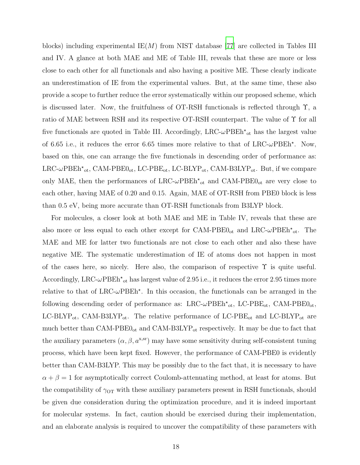blocks) including experimental  $IE(M)$  from NIST database [\[77](#page-32-16)] are collected in Tables III and IV. A glance at both MAE and ME of Table III, reveals that these are more or less close to each other for all functionals and also having a positive ME. These clearly indicate an underestimation of IE from the experimental values. But, at the same time, these also provide a scope to further reduce the error systematically within our proposed scheme, which is discussed later. Now, the fruitfulness of OT-RSH functionals is reflected through  $\Upsilon$ , a ratio of MAE between RSH and its respective OT-RSH counterpart. The value of Υ for all five functionals are quoted in Table III. Accordingly,  $LRC-\omega PBEh^{\star}{}_{ot}$  has the largest value of 6.65 i.e., it reduces the error 6.65 times more relative to that of  $LRC$ - $\omega$ PBEh<sup>\*</sup>. Now, based on this, one can arrange the five functionals in descending order of performance as:  $LRC-\omega PBEh\star_{ot}$ , CAM-PBE $0_{ot}$ , LC-PBE<sub>ot</sub>, LC-BLYP<sub>ot</sub>, CAM-B3LYP<sub>ot</sub>. But, if we compare only MAE, then the performances of  $LRC$ - $\omega$ PBE $h^{\star}{}_{ot}$  and CAM-PBE $0_{ot}$  are very close to each other, having MAE of 0.20 and 0.15. Again, MAE of OT-RSH from PBE0 block is less than 0.5 eV, being more accurate than OT-RSH functionals from B3LYP block.

For molecules, a closer look at both MAE and ME in Table IV, reveals that these are also more or less equal to each other except for CAM-PBE $0_{ot}$  and LRC- $\omega$ PBE $h^*_{ot}$ . The MAE and ME for latter two functionals are not close to each other and also these have negative ME. The systematic underestimation of IE of atoms does not happen in most of the cases here, so nicely. Here also, the comparison of respective  $\Upsilon$  is quite useful. Accordingly, LRC- $\omega$ PBEh<sup>\*</sup><sub>ot</sub> has largest value of 2.95 i.e., it reduces the error 2.95 times more relative to that of LRC- $\omega$ PBEh<sup>\*</sup>. In this occasion, the functionals can be arranged in the following descending order of performance as:  $LRC-\omega PBEh^*$ <sub>ot</sub>,  $LC-PBE_{ot}$ ,  $CAM-PBE0_{ot}$ , LC-BLYP<sub>ot</sub>, CAM-B3LYP<sub>ot</sub>. The relative performance of LC-PBE<sub>ot</sub> and LC-BLYP<sub>ot</sub> are much better than  $CAM-PBE0<sub>ot</sub>$  and  $CAM-B3LYP<sub>ot</sub>$  respectively. It may be due to fact that the auxiliary parameters  $(\alpha, \beta, a^{x,sr})$  may have some sensitivity during self-consistent tuning process, which have been kept fixed. However, the performance of CAM-PBE0 is evidently better than CAM-B3LYP. This may be possibly due to the fact that, it is necessary to have  $\alpha + \beta = 1$  for asymptotically correct Coulomb-attenuating method, at least for atoms. But the compatibility of  $\gamma_{\text{OT}}$  with these auxiliary parameters present in RSH functionals, should be given due consideration during the optimization procedure, and it is indeed important for molecular systems. In fact, caution should be exercised during their implementation, and an elaborate analysis is required to uncover the compatibility of these parameters with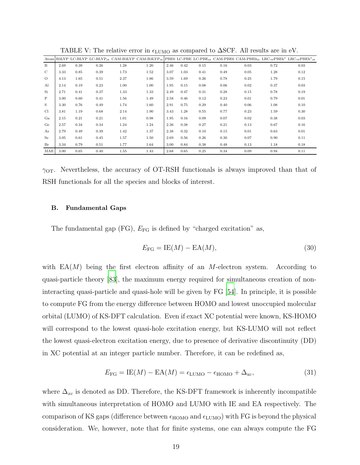|                |      |      |      |      |      |      |      |      |      |      |      | Atom B3LYP LC-BLYP LC-BLYP <sub>ot</sub> CAM-B3LYP CAM-B3LYP <sub>ot</sub> PBE0 LC-PBE LC-PBE <sub>0t</sub> CAM-PBE0 CAM-PBE0 <sub>0t</sub> LRC- $\omega$ PBEh <sup>*</sup> LRC- $\omega$ PBEh <sup>*</sup> ot |
|----------------|------|------|------|------|------|------|------|------|------|------|------|----------------------------------------------------------------------------------------------------------------------------------------------------------------------------------------------------------------|
| B              | 2.69 | 0.39 | 0.26 | 1.28 | 1.20 | 2.46 | 0.42 | 0.15 | 0.16 | 0.03 | 0.72 | 0.03                                                                                                                                                                                                           |
| $\mathcal{C}$  | 3.33 | 0.85 | 0.39 | 1.73 | 1.52 | 3.07 | 1.03 | 0.41 | 0.49 | 0.05 | 1.28 | 0.12                                                                                                                                                                                                           |
| $\Omega$       | 4.13 | 1.65 | 0.51 | 2.37 | 1.86 | 3.59 | 1.69 | 0.26 | 0.78 | 0.25 | 1.79 | 0.15                                                                                                                                                                                                           |
| Al             | 2.14 | 0.19 | 0.23 | 1.00 | 1.00 | 1.95 | 0.15 | 0.08 | 0.06 | 0.02 | 0.37 | 0.03                                                                                                                                                                                                           |
| Si             | 2.71 | 0.41 | 0.37 | 1.33 | 1.33 | 2.49 | 0.47 | 0.31 | 0.28 | 0.15 | 0.78 | 0.19                                                                                                                                                                                                           |
| P              | 3.00 | 0.60 | 0.41 | 1.56 | 1.49 | 2.58 | 0.46 | 0.12 | 0.23 | 0.01 | 0.79 | 0.01                                                                                                                                                                                                           |
| S              | 3.30 | 0.76 | 0.49 | 1.74 | 1.60 | 2.91 | 0.75 | 0.29 | 0.40 | 0.06 | 1.08 | 0.10                                                                                                                                                                                                           |
| <sup>C</sup> l | 3.81 | 1.19 | 0.68 | 2.14 | 1.90 | 3.43 | 1.28 | 0.55 | 0.77 | 0.23 | 1.59 | 0.30                                                                                                                                                                                                           |
| Ga             | 2.15 | 0.21 | 0.21 | 1.01 | 0.98 | 1.95 | 0.16 | 0.09 | 0.07 | 0.02 | 0.38 | 0.03                                                                                                                                                                                                           |
| Ge             | 2.57 | 0.34 | 0.34 | 1.24 | 1.24 | 2.36 | 0.38 | 0.27 | 0.21 | 0.13 | 0.67 | 0.16                                                                                                                                                                                                           |
| As             | 2.79 | 0.49 | 0.39 | 1.42 | 1.37 | 2.38 | 0.32 | 0.10 | 0.15 | 0.01 | 0.63 | 0.01                                                                                                                                                                                                           |
| Se             | 3.05 | 0.61 | 0.45 | 1.57 | 1.50 | 2.69 | 0.56 | 0.26 | 0.30 | 0.07 | 0.90 | 0.11                                                                                                                                                                                                           |
| Br             | 3.34 | 0.79 | 0.51 | 1.77 | 1.64 | 3.00 | 0.84 | 0.38 | 0.48 | 0.13 | 1.18 | 0.18                                                                                                                                                                                                           |
| MAE            | 3.00 | 0.65 | 0.40 | 1.55 | 1.43 | 2.68 | 0.65 | 0.25 | 0.34 | 0.09 | 0.94 | 0.11                                                                                                                                                                                                           |

TABLE V: The relative error in  $\epsilon_{\text{LUMO}}$  as compared to  $\Delta \text{SCF}$ . All results are in eV.

 $\gamma_{\text{OT}}$ . Nevertheless, the accuracy of OT-RSH functionals is always improved than that of RSH functionals for all the species and blocks of interest.

#### B. Fundamental Gaps

The fundamental gap (FG),  $E_{\text{FG}}$  is defined by "charged excitation" as,

$$
E_{\text{FG}} = \text{IE}(M) - \text{EA}(M),\tag{30}
$$

with  $EA(M)$  being the first electron affinity of an M-electron system. According to quasi-particle theory [\[83](#page-33-0)], the maximum energy required for simultaneous creation of noninteracting quasi-particle and quasi-hole will be given by FG [\[54](#page-31-15)]. In principle, it is possible to compute FG from the energy difference between HOMO and lowest unoccupied molecular orbital (LUMO) of KS-DFT calculation. Even if exact XC potential were known, KS-HOMO will correspond to the lowest quasi-hole excitation energy, but KS-LUMO will not reflect the lowest quasi-electron excitation energy, due to presence of derivative discontinuity (DD) in XC potential at an integer particle number. Therefore, it can be redefined as,

$$
E_{\rm FG} = \text{IE}(M) - \text{EA}(M) = \epsilon_{\text{LUMO}} - \epsilon_{\text{HOMO}} + \Delta_{\text{xc}},\tag{31}
$$

where  $\Delta_{xc}$  is denoted as DD. Therefore, the KS-DFT framework is inherently incompatible with simultaneous interpretation of HOMO and LUMO with IE and EA respectively. The comparison of KS gaps (difference between  $\epsilon_{\text{HOMO}}$  and  $\epsilon_{\text{LUMO}}$ ) with FG is beyond the physical consideration. We, however, note that for finite systems, one can always compute the FG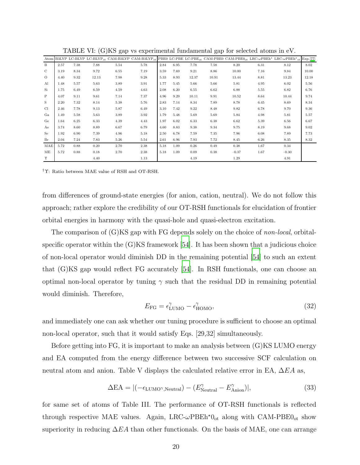|               |      |      |       |      | Atom B3LYP LC-BLYP LC-BLYP <sub>ot</sub> CAM-B3LYP CAM-B3LYP <sub>ot</sub> |      |      |       |       |         |      | PBE0 LC-PBE LC-PBE <sub>0t</sub> CAM-PBE0 CAM-PBE0 <sub>0t</sub> LRC- $\omega$ PBEh <sup>*</sup> LRC- $\omega$ PBEh <sup>*</sup> <sub>0t</sub> Exp.[77] |       |
|---------------|------|------|-------|------|----------------------------------------------------------------------------|------|------|-------|-------|---------|------|---------------------------------------------------------------------------------------------------------------------------------------------------------|-------|
| B             | 2.57 | 7.38 | 7.88  | 5.54 | 5.78                                                                       | 2.84 | 6.95 | 7.78  | 7.58  | 8.20    | 6.31 | 8.12                                                                                                                                                    | 8.02  |
| $\mathcal{C}$ | 3.19 | 8.34 | 9.72  | 6.55 | 7.19                                                                       | 3.59 | 7.69 | 9.21  | 8.86  | 10.00   | 7.16 | 9.84                                                                                                                                                    | 10.00 |
| $\circ$       | 4.40 | 9.32 | 12.13 | 7.98 | 9.28                                                                       | 5.33 | 8.93 | 12.37 | 10.91 | 13.44   | 8.81 | 13.23                                                                                                                                                   | 12.18 |
| Al            | 1.48 | 5.57 | 5.63  | 3.89 | 3.91                                                                       | 1.77 | 5.45 | 5.66  | 5.66  | 5.81    | 4.95 | 6.02                                                                                                                                                    | 5.56  |
| Si            | 1.75 | 6.49 | 6.59  | 4.59 | 4.63                                                                       | 2.08 | 6.20 | 6.55  | 6.62  | 6.88    | 5.55 | 6.82                                                                                                                                                    | 6.76  |
| P             | 4.07 | 9.11 | 9.61  | 7.14 | 7.37                                                                       | 4.96 | 9.29 | 10.11 | 9.91  | 10.52   | 8.64 | 10.44                                                                                                                                                   | 9.74  |
| S             | 2.20 | 7.32 | 8.14  | 5.38 | 5.76                                                                       | 2.83 | 7.14 | 8.34  | 7.89  | 8.78    | 6.45 | 8.69                                                                                                                                                    | 8.34  |
| Cl            | 2.46 | 7.78 | 9.13  | 5.87 | 6.49                                                                       | 3.10 | 7.42 | 9.22  | 8.48  | 9.82    | 6.78 | 9.70                                                                                                                                                    | 9.36  |
| Ga            | 1.49 | 5.58 | 5.63  | 3.89 | 3.92                                                                       | 1.79 | 5.48 | 5.69  | 5.69  | 5.84    | 4.98 | 5.81                                                                                                                                                    | 5.57  |
| Ge            | 1.64 | 6.25 | 6.33  | 4.39 | 4.43                                                                       | 1.97 | 6.02 | 6.33  | 6.38  | 6.62    | 5.39 | 6.56                                                                                                                                                    | 6.67  |
| As            | 3.74 | 8.60 | 8.89  | 6.67 | 6.79                                                                       | 4.60 | 8.83 | 9.38  | 9.34  | 9.75    | 8.19 | 9.68                                                                                                                                                    | 9.02  |
| Se            | 1.92 | 6.90 | 7.39  | 4.96 | 5.18                                                                       | 2.50 | 6.78 | 7.59  | 7.35  | 7.96    | 6.08 | 7.89                                                                                                                                                    | 7.73  |
| Br            | 2.04 | 7.24 | 7.83  | 5.26 | 5.54                                                                       | 2.61 | 6.96 | 7.93  | 7.72  | 8.45    | 6.26 | 8.35                                                                                                                                                    | 8.32  |
| MAE           | 5.72 | 0.88 | 0.20  | 2.70 | 2.38                                                                       | 5.18 | 1.09 | 0.26  | 0.49  | 0.38    | 1.67 | 0.34                                                                                                                                                    |       |
| МE            | 5.72 | 0.88 | 0.18  | 2.70 | 2.38                                                                       | 5.18 | 1.09 | 0.09  | 0.38  | $-0.37$ | 1.67 | $-0.30$                                                                                                                                                 |       |
| Υ             |      |      | 4.40  |      | 1.13                                                                       |      |      | 4.19  |       | 1.29    |      | 4.91                                                                                                                                                    |       |

TABLE VI: (G)KS gap vs experimental fundamental gap for selected atoms in eV.

†Υ: Ratio between MAE value of RSH and OT-RSH.

from differences of ground-state energies (for anion, cation, neutral). We do not follow this approach; rather explore the credibility of our OT-RSH functionals for elucidation of frontier orbital energies in harmony with the quasi-hole and quasi-electron excitation.

The comparison of  $(G)KS$  gap with FG depends solely on the choice of *non-local*, orbitalspecific operator within the  $(G)KS$  framework [\[54](#page-31-15)]. It has been shown that a judicious choice of non-local operator would diminish DD in the remaining potential [\[54](#page-31-15)] to such an extent that (G)KS gap would reflect FG accurately [\[54\]](#page-31-15). In RSH functionals, one can choose an optimal non-local operator by tuning  $\gamma$  such that the residual DD in remaining potential would diminish. Therefore,

$$
E_{\rm FG} = \epsilon_{\rm LUMO}^{\gamma} - \epsilon_{\rm HOMO}^{\gamma},\tag{32}
$$

and immediately one can ask whether our tuning procedure is sufficient to choose an optimal non-local operator, such that it would satisfy Eqs. [29,32] simultaneously.

Before getting into FG, it is important to make an analysis between (G)KS LUMO energy and EA computed from the energy difference between two successive SCF calculation on neutral atom and anion. Table V displays the calculated relative error in EA,  $\Delta EA$  as,

$$
\Delta \text{EA} = |(-\epsilon_{\text{LUMO}^{\gamma}, \text{Neutral}}) - (E_{\text{Neutral}}^{\gamma} - E_{\text{Anion}}^{\gamma})|,
$$
\n(33)

for same set of atoms of Table III. The performance of OT-RSH functionals is reflected through respective MAE values. Again, LRC- $\omega$ PBEh<sup>\*</sup>0<sub>ot</sub> along with CAM-PBE0<sub>ot</sub> show superiority in reducing  $\Delta EA$  than other functionals. On the basis of MAE, one can arrange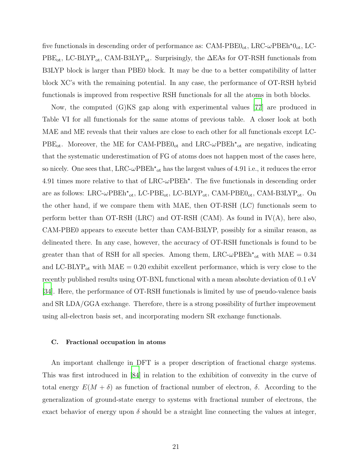five functionals in descending order of performance as:  $\text{CAM-PBE0}_{\text{ot}}$ , LRC- $\omega$ PBEh<sup> $\star$ </sup>0<sub>ot</sub>, LC- $PBE_{ot}$ , LC-BLYP<sub>ot</sub>, CAM-B3LYP<sub>ot</sub>. Surprisingly, the  $\Delta EAs$  for OT-RSH functionals from B3LYP block is larger than PBE0 block. It may be due to a better compatibility of latter block XC's with the remaining potential. In any case, the performance of OT-RSH hybrid functionals is improved from respective RSH functionals for all the atoms in both blocks.

Now, the computed (G)KS gap along with experimental values [\[77](#page-32-16)] are produced in Table VI for all functionals for the same atoms of previous table. A closer look at both MAE and ME reveals that their values are close to each other for all functionals except LC- $PBE_{ot}$ . Moreover, the ME for CAM-PBE $0_{ot}$  and LRC- $\omega PBEh^{\star}{}_{ot}$  are negative, indicating that the systematic underestimation of FG of atoms does not happen most of the cases here, so nicely. One sees that,  $LRC\text{-}\omega PBEh^*$ <sub>ot</sub> has the largest values of 4.91 i.e., it reduces the error 4.91 times more relative to that of  $LRC\text{-}\omega\text{PBEh}^*$ . The five functionals in descending order are as follows: LRC- $\omega$ PBEh<sup>\*</sup><sub>ot</sub>, LC-PBE<sub>ot</sub>, LC-BLYP<sub>ot</sub>, CAM-PBE $0_{ot}$ , CAM-B3LYP<sub>ot</sub>. On the other hand, if we compare them with MAE, then OT-RSH (LC) functionals seem to perform better than OT-RSH (LRC) and OT-RSH (CAM). As found in  $IV(A)$ , here also, CAM-PBE0 appears to execute better than CAM-B3LYP, possibly for a similar reason, as delineated there. In any case, however, the accuracy of OT-RSH functionals is found to be greater than that of RSH for all species. Among them,  $LRC-\omega PBEh^*$ <sub>ot</sub> with  $MAE = 0.34$ and LC-BLYP<sub>ot</sub> with  $MAE = 0.20$  exhibit excellent performance, which is very close to the recently published results using OT-BNL functional with a mean absolute deviation of 0.1 eV [\[34\]](#page-30-26). Here, the performance of OT-RSH functionals is limited by use of pseudo-valence basis and SR LDA/GGA exchange. Therefore, there is a strong possibility of further improvement using all-electron basis set, and incorporating modern SR exchange functionals.

#### C. Fractional occupation in atoms

An important challenge in DFT is a proper description of fractional charge systems. This was first introduced in [\[84\]](#page-33-1) in relation to the exhibition of convexity in the curve of total energy  $E(M + \delta)$  as function of fractional number of electron,  $\delta$ . According to the generalization of ground-state energy to systems with fractional number of electrons, the exact behavior of energy upon  $\delta$  should be a straight line connecting the values at integer,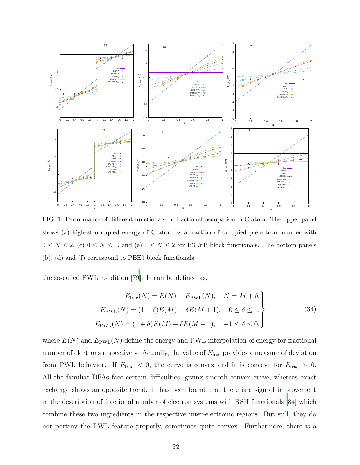

FIG. 1: Performance of different functionals on fractional occupation in C atom. The upper panel shows (a) highest occupied energy of C atom as a fraction of occupied p-electron number with  $0 \le N \le 2$ , (c)  $0 \le N \le 1$ , and (e)  $1 \le N \le 2$  for B3LYP block functionals. The bottom panels (b), (d) and (f) correspond to PBE0 block functionals.

the so-called PWL condition [\[79](#page-32-18)]. It can be defined as,

$$
E_{\text{frac}}(N) = E(N) - E_{\text{PWL}}(N), \quad N = M + \delta,
$$
  
\n
$$
E_{\text{PWL}}(N) = (1 - \delta)E(M) + \delta E(M + 1), \quad 0 \le \delta \le 1,
$$
  
\n
$$
E_{\text{PWL}}(N) = (1 + \delta)E(M) - \delta E(M - 1), \quad -1 \le \delta \le 0,
$$
\n(34)

where  $E(N)$  and  $E_{\text{PWL}}(N)$  define the energy and PWL interpolation of energy for fractional number of electrons respectively. Actually, the value of  $E_{\text{frac}}$  provides a measure of deviation from PWL behavior. If  $E_{\text{frac}} < 0$ , the curve is convex and it is concave for  $E_{\text{frac}} > 0$ . All the familiar DFAs face certain difficulties, giving smooth convex curve, whereas exact exchange shows an opposite trend. It has been found that there is a sign of improvement in the description of fractional number of electron systems with RSH functionals [\[84\]](#page-33-1) which combine these two ingredients in the respective inter-electronic regions. But still, they do not portray the PWL feature properly, sometimes quite convex. Furthermore, there is a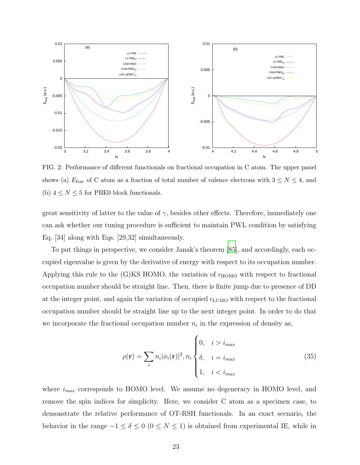

FIG. 2: Performance of different functionals on fractional occupation in C atom. The upper panel shows (a)  $E_{\text{frac}}$  of C atom as a fraction of total number of valence electrons with  $3 \le N \le 4$ , and (b)  $4 \leq N \leq 5$  for PBE0 block functionals.

great sensitivity of latter to the value of  $\gamma$ , besides other effects. Therefore, immediately one can ask whether our tuning procedure is sufficient to maintain PWL condition by satisfying Eq. [34] along with Eqs. [29,32] simultaneously.

To put things in perspective, we consider Janak's theorem [\[85\]](#page-33-2), and accordingly, each occupied eigenvalue is given by the derivative of energy with respect to its occupation number. Applying this rule to the (G)KS HOMO, the variation of  $\epsilon_{\text{HOMO}}$  with respect to fractional occupation number should be straight line. Then, there is finite jump due to presence of DD at the integer point, and again the variation of occupied  $\epsilon_{\text{LUMO}}$  with respect to the fractional occupation number should be straight line up to the next integer point. In order to do that we incorporate the fractional occupation number  $n_i$  in the expression of density as,

$$
\rho(\mathbf{r}) = \sum_{i} n_i |\phi_i(\mathbf{r})|^2, n_i \begin{cases} 0, & i > i_{max} \\ \delta, & i = i_{max} \\ 1, & i < i_{max} \end{cases} \tag{35}
$$

where  $i_{max}$  corresponds to HOMO level. We assume no degeneracy in HOMO level, and remove the spin indices for simplicity. Here, we consider C atom as a specimen case, to demonstrate the relative performance of OT-RSH functionals. In an exact scenario, the behavior in the range  $-1 \le \delta \le 0$  ( $0 \le N \le 1$ ) is obtained from experimental IE, while in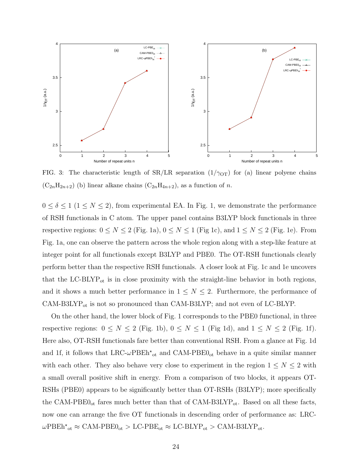

FIG. 3: The characteristic length of  $SR/LR$  separation  $(1/\gamma_{\text{OT}})$  for (a) linear polyene chains  $(C_{2n}H_{2n+2})$  (b) linear alkane chains  $(C_{2n}H_{4n+2})$ , as a function of n.

 $0 \le \delta \le 1$  ( $1 \le N \le 2$ ), from experimental EA. In Fig. 1, we demonstrate the performance of RSH functionals in C atom. The upper panel contains B3LYP block functionals in three respective regions:  $0 \le N \le 2$  (Fig. 1a),  $0 \le N \le 1$  (Fig 1c), and  $1 \le N \le 2$  (Fig. 1e). From Fig. 1a, one can observe the pattern across the whole region along with a step-like feature at integer point for all functionals except B3LYP and PBE0. The OT-RSH functionals clearly perform better than the respective RSH functionals. A closer look at Fig. 1c and 1e uncovers that the LC-BLYP<sub>ot</sub> is in close proximity with the straight-line behavior in both regions, and it shows a much better performance in  $1 \leq N \leq 2$ . Furthermore, the performance of  $CAM-B3LYP_{ot}$  is not so pronounced than  $CAM-B3LYP$ ; and not even of LC-BLYP.

On the other hand, the lower block of Fig. 1 corresponds to the PBE0 functional, in three respective regions:  $0 \le N \le 2$  (Fig. 1b),  $0 \le N \le 1$  (Fig 1d), and  $1 \le N \le 2$  (Fig. 1f). Here also, OT-RSH functionals fare better than conventional RSH. From a glance at Fig. 1d and 1f, it follows that  $LRC\text{-}\omega PBEh\text{*}_{ot}$  and  $CAM-PBE0_{ot}$  behave in a quite similar manner with each other. They also behave very close to experiment in the region  $1 \leq N \leq 2$  with a small overall positive shift in energy. From a comparison of two blocks, it appears OT-RSHs (PBE0) appears to be significantly better than OT-RSHs (B3LYP); more specifically the CAM-PBE $0_{\text{ot}}$  fares much better than that of CAM-B3LYP<sub>ot</sub>. Based on all these facts, now one can arrange the five OT functionals in descending order of performance as: LRC- $\omega$ PBEh<sup>\*</sup><sub>ot</sub>  $\approx$  CAM-PBE0<sub>ot</sub>  $>$  LC-PBE<sub>ot</sub>  $\approx$  LC-BLYP<sub>ot</sub>  $>$  CAM-B3LYP<sub>ot</sub>.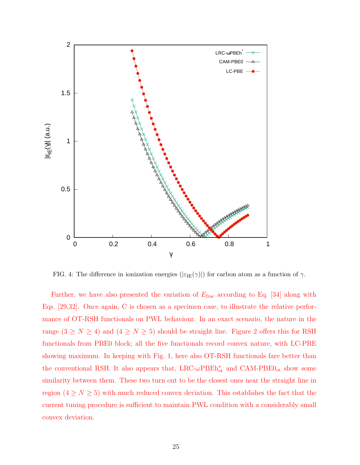

FIG. 4: The difference in ionization energies ( $|\varepsilon_{\text{IE}}(\gamma)|$ ) for carbon atom as a function of  $\gamma$ .

Further, we have also presented the variation of  $E_{\text{frac}}$  according to Eq. [34] along with Eqs. [29,32]. Once again, C is chosen as a specimen case, to illustrate the relative performance of OT-RSH functionals on PWL behaviour. In an exact scenario, the nature in the range  $(3 \ge N \ge 4)$  and  $(4 \ge N \ge 5)$  should be straight line. Figure 2 offers this for RSH functionals from PBE0 block; all the five functionals record convex nature, with LC-PBE showing maximum. In keeping with Fig. 1, here also OT-RSH functionals fare better than the conventional RSH. It also appears that,  $LRC-\omega PBEh_{ot}^{\star}$  and  $CAM-PBE0_{ot}$  show some similarity between them. These two turn out to be the closest ones near the straight line in region  $(4 \ge N \ge 5)$  with much reduced convex deviation. This establishes the fact that the current tuning procedure is sufficient to maintain PWL condition with a considerably small convex deviation.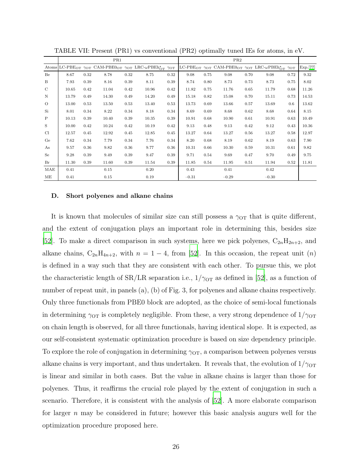|             |       |      | PR1   |      |                                                                                                                                                                                  |      | PR2     |      |         |      |                                                                                                                                                               |         |           |
|-------------|-------|------|-------|------|----------------------------------------------------------------------------------------------------------------------------------------------------------------------------------|------|---------|------|---------|------|---------------------------------------------------------------------------------------------------------------------------------------------------------------|---------|-----------|
| Atoms       |       |      |       |      | LC-PBE <sub>OT</sub> $\gamma_{\text{OT}}$ CAM-PBE <sub>0</sub> <sub>OT</sub> $\gamma_{\text{OT}}$ LRC- $\omega$ PBE <sub>h</sub> <sup>*</sup> <sub>OT</sub> $\gamma_{\text{OT}}$ |      |         |      |         |      | LC-PBE <sub>OT</sub> $\gamma$ <sub>OT</sub> CAM-PBE <sub>0</sub> <sub>OT</sub> $\gamma$ <sub>OT</sub> LRC- $\omega$ PBEh <sub>OT</sub> $\gamma$ <sub>OT</sub> |         | Exp. [77] |
| Be          | 8.67  | 0.32 | 8.78  | 0.32 | 8.75                                                                                                                                                                             | 0.32 | 9.08    | 0.75 | 9.08    | 0.70 | 9.08                                                                                                                                                          | 0.72    | 9.32      |
| B           | 7.93  | 0.39 | 8.16  | 0.39 | 8.11                                                                                                                                                                             | 0.39 | 8.74    | 0.80 | 8.73    | 0.73 | 8.73                                                                                                                                                          | 0.75    | 8.02      |
| $\mathbf C$ | 10.65 | 0.42 | 11.04 | 0.42 | 10.96                                                                                                                                                                            | 0.42 | 11.82   | 0.75 | 11.76   | 0.65 | 11.79                                                                                                                                                         | 0.68    | 11.26     |
| $\,$ N      | 13.79 | 0.49 | 14.30 | 0.49 | 14.20                                                                                                                                                                            | 0.49 | 15.18   | 0.82 | 15.08   | 0.70 | 15.11                                                                                                                                                         | 0.73    | 14.53     |
| $\circ$     | 13.00 | 0.53 | 13.50 | 0.53 | 13.40                                                                                                                                                                            | 0.53 | 13.73   | 0.69 | 13.66   | 0.57 | 13.69                                                                                                                                                         | $0.6\,$ | 13.62     |
| Si          | 8.01  | 0.34 | 8.22  | 0.34 | 8.18                                                                                                                                                                             | 0.34 | 8.69    | 0.69 | 8.68    | 0.62 | 8.68                                                                                                                                                          | 0.64    | 8.15      |
| $\mathbf P$ | 10.13 | 0.39 | 10.40 | 0.39 | 10.35                                                                                                                                                                            | 0.39 | 10.91   | 0.68 | 10.90   | 0.61 | 10.91                                                                                                                                                         | 0.63    | 10.49     |
| S           | 10.00 | 0.42 | 10.24 | 0.42 | 10.19                                                                                                                                                                            | 0.42 | 9.13    | 0.48 | 9.13    | 0.42 | 9.12                                                                                                                                                          | 0.43    | 10.36     |
| Cl          | 12.57 | 0.45 | 12.92 | 0.45 | 12.85                                                                                                                                                                            | 0.45 | 13.27   | 0.64 | 13.27   | 0.56 | 13.27                                                                                                                                                         | 0.58    | 12.97     |
| Ge          | 7.62  | 0.34 | 7.79  | 0.34 | 7.76                                                                                                                                                                             | 0.34 | 8.20    | 0.68 | 8.19    | 0.62 | 8.19                                                                                                                                                          | 0.63    | 7.90      |
| As          | 9.57  | 0.36 | 9.82  | 0.36 | 9.77                                                                                                                                                                             | 0.36 | 10.31   | 0.66 | 10.30   | 0.59 | 10.31                                                                                                                                                         | 0.61    | 9.82      |
| Se          | 9.28  | 0.39 | 9.49  | 0.39 | 9.47                                                                                                                                                                             | 0.39 | 9.71    | 0.54 | 9.69    | 0.47 | 9.70                                                                                                                                                          | 0.49    | 9.75      |
| Br          | 11.30 | 0.39 | 11.60 | 0.39 | 11.54                                                                                                                                                                            | 0.39 | 11.85   | 0.54 | 11.95   | 0.51 | 11.94                                                                                                                                                         | 0.52    | 11.81     |
| MAE         | 0.41  |      | 0.15  |      | 0.20                                                                                                                                                                             |      | 0.43    |      | 0.41    |      | $0.42\,$                                                                                                                                                      |         |           |
| МE          | 0.41  |      | 0.15  |      | 0.19                                                                                                                                                                             |      | $-0.31$ |      | $-0.29$ |      | $-0.30$                                                                                                                                                       |         |           |

TABLE VII: Present (PR1) vs conventional (PR2) optimally tuned IEs for atoms, in eV.

#### D. Short polyenes and alkane chains

It is known that molecules of similar size can still possess a  $\gamma_{\text{OT}}$  that is quite different, and the extent of conjugation plays an important role in determining this, besides size [\[52\]](#page-31-13). To make a direct comparison in such systems, here we pick polyenes,  $C_{2n}H_{2n+2}$ , and alkane chains,  $C_{2n}H_{4n+2}$ , with  $n = 1 - 4$ , from [\[52\]](#page-31-13). In this occasion, the repeat unit  $(n)$ is defined in a way such that they are consistent with each other. To pursue this, we plot the characteristic length of  $SR/LR$  separation i.e.,  $1/\gamma_{\text{OT}}$  as defined in [\[52](#page-31-13)], as a function of number of repeat unit, in panels (a), (b) of Fig. 3, for polyenes and alkane chains respectively. Only three functionals from PBE0 block are adopted, as the choice of semi-local functionals in determining  $\gamma_{\text{OT}}$  is completely negligible. From these, a very strong dependence of  $1/\gamma_{\text{OT}}$ on chain length is observed, for all three functionals, having identical slope. It is expected, as our self-consistent systematic optimization procedure is based on size dependency principle. To explore the role of conjugation in determining  $\gamma_{\text{OT}}$ , a comparison between polyenes versus alkane chains is very important, and thus undertaken. It reveals that, the evolution of  $1/\gamma_{\text{OT}}$ is linear and similar in both cases. But the value in alkane chains is larger than those for polyenes. Thus, it reaffirms the crucial role played by the extent of conjugation in such a scenario. Therefore, it is consistent with the analysis of [\[52](#page-31-13)]. A more elaborate comparison for larger  $n$  may be considered in future; however this basic analysis augurs well for the optimization procedure proposed here.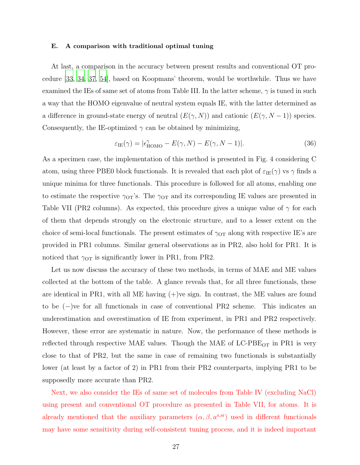#### E. A comparison with traditional optimal tuning

At last, a comparison in the accuracy between present results and conventional OT procedure [\[33](#page-30-25), [34](#page-30-26), [37](#page-31-2), [54\]](#page-31-15), based on Koopmans' theorem, would be worthwhile. Thus we have examined the IEs of same set of atoms from Table III. In the latter scheme,  $\gamma$  is tuned in such a way that the HOMO eigenvalue of neutral system equals IE, with the latter determined as a difference in ground-state energy of neutral  $(E(\gamma, N))$  and cationic  $(E(\gamma, N-1))$  species. Consequently, the IE-optimized  $\gamma$  can be obtained by minimizing,

$$
\varepsilon_{\text{IE}}(\gamma) = |\epsilon_{\text{HOMO}}^{\gamma} - E(\gamma, N) - E(\gamma, N - 1)|. \tag{36}
$$

As a specimen case, the implementation of this method is presented in Fig. 4 considering C atom, using three PBE0 block functionals. It is revealed that each plot of  $\varepsilon_{IE}(\gamma)$  vs  $\gamma$  finds a unique minima for three functionals. This procedure is followed for all atoms, enabling one to estimate the respective  $\gamma_{\text{OT}}$ 's. The  $\gamma_{\text{OT}}$  and its corresponding IE values are presented in Table VII (PR2 columns). As expected, this procedure gives a unique value of  $\gamma$  for each of them that depends strongly on the electronic structure, and to a lesser extent on the choice of semi-local functionals. The present estimates of  $\gamma$ <sub>OT</sub> along with respective IE's are provided in PR1 columns. Similar general observations as in PR2, also hold for PR1. It is noticed that  $\gamma_{\text{OT}}$  is significantly lower in PR1, from PR2.

Let us now discuss the accuracy of these two methods, in terms of MAE and ME values collected at the bottom of the table. A glance reveals that, for all three functionals, these are identical in PR1, with all ME having (+)ve sign. In contrast, the ME values are found to be (−)ve for all functionals in case of conventional PR2 scheme. This indicates an underestimation and overestimation of IE from experiment, in PR1 and PR2 respectively. However, these error are systematic in nature. Now, the performance of these methods is reflected through respective MAE values. Though the MAE of  $LC-PBE<sub>OT</sub>$  in PR1 is very close to that of PR2, but the same in case of remaining two functionals is substantially lower (at least by a factor of 2) in PR1 from their PR2 counterparts, implying PR1 to be supposedly more accurate than PR2.

Next, we also consider the IEs of same set of molecules from Table IV (excluding NaCl) using present and conventional OT procedure as presented in Table VII, for atoms. It is already mentioned that the auxiliary parameters  $(\alpha, \beta, a^{x,sr})$  used in different functionals may have some sensitivity during self-consistent tuning process, and it is indeed important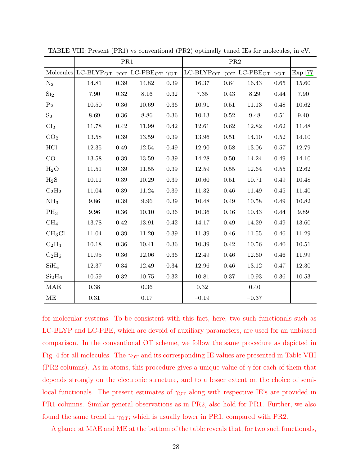|                                |                                                                                                    | PR1        |           |            |                                            | PR <sub>2</sub> |         |            |           |
|--------------------------------|----------------------------------------------------------------------------------------------------|------------|-----------|------------|--------------------------------------------|-----------------|---------|------------|-----------|
|                                | Molecules LC-BLYP <sub>OT</sub> $\gamma$ <sub>OT</sub> LC-PBE <sub>OT</sub> $\gamma$ <sub>OT</sub> |            |           |            | LC-BLYPOT $\gamma$ OT LC-PBEOT $\gamma$ OT |                 |         |            | Exp.[77]  |
| $N_2$                          | 14.81                                                                                              | 0.39       | 14.82     | 0.39       | 16.37                                      | 0.64            | 16.43   | 0.65       | 15.60     |
| Si <sub>2</sub>                | 7.90                                                                                               | $\rm 0.32$ | 8.16      | 0.32       | 7.35                                       | 0.43            | 8.29    | 0.44       | 7.90      |
| P <sub>2</sub>                 | 10.50                                                                                              | 0.36       | 10.69     | 0.36       | 10.91                                      | 0.51            | 11.13   | 0.48       | 10.62     |
| $S_2$                          | 8.69                                                                                               | $0.36\,$   | 8.86      | 0.36       | 10.13                                      | 0.52            | 9.48    | 0.51       | 9.40      |
| Cl <sub>2</sub>                | 11.78                                                                                              | 0.42       | 11.99     | 0.42       | 12.61                                      | 0.62            | 12.82   | 0.62       | 11.48     |
| CO <sub>2</sub>                | 13.58                                                                                              | $0.39\,$   | 13.59     | 0.39       | 13.96                                      | 0.51            | 14.10   | 0.52       | 14.10     |
| HCl                            | 12.35                                                                                              | 0.49       | 12.54     | 0.49       | 12.90                                      | 0.58            | 13.06   | 0.57       | 12.79     |
| CO                             | 13.58                                                                                              | 0.39       | 13.59     | 0.39       | 14.28                                      | $0.50\,$        | 14.24   | 0.49       | 14.10     |
| $H_2O$                         | 11.51                                                                                              | $0.39\,$   | 11.55     | 0.39       | 12.59                                      | $\rm 0.55$      | 12.64   | $\rm 0.55$ | 12.62     |
| $H_2S$                         | 10.11                                                                                              | 0.39       | 10.29     | 0.39       | 10.60                                      | 0.51            | 10.71   | 0.49       | 10.48     |
| $C_2H_2$                       | 11.04                                                                                              | 0.39       | 11.24     | 0.39       | 11.32                                      | 0.46            | 11.49   | 0.45       | 11.40     |
| NH <sub>3</sub>                | 9.86                                                                                               | 0.39       | 9.96      | 0.39       | 10.48                                      | 0.49            | 10.58   | 0.49       | 10.82     |
| $PH_3$                         | 9.96                                                                                               | $0.36\,$   | 10.10     | $0.36\,$   | 10.36                                      | 0.46            | 10.43   | 0.44       | 9.89      |
| CH <sub>4</sub>                | 13.78                                                                                              | 0.42       | 13.91     | 0.42       | 14.17                                      | 0.49            | 14.29   | 0.49       | 13.60     |
| CH <sub>3</sub> Cl             | $11.04\,$                                                                                          | $0.39\,$   | 11.20     | 0.39       | 11.39                                      | 0.46            | 11.55   | $0.46\,$   | 11.29     |
| $C_2H_4$                       | 10.18                                                                                              | 0.36       | 10.41     | 0.36       | 10.39                                      | 0.42            | 10.56   | 0.40       | 10.51     |
| $C_2H_6$                       | $11.95\,$                                                                                          | $0.36\,$   | $12.06\,$ | $0.36\,$   | 12.49                                      | $0.46\,$        | 12.60   | 0.46       | 11.99     |
| SiH <sub>4</sub>               | 12.37                                                                                              | $0.34\,$   | 12.49     | $0.34\,$   | 12.96                                      | $0.46\,$        | 13.12   | 0.47       | 12.30     |
| Si <sub>2</sub> H <sub>6</sub> | 10.59                                                                                              | $\rm 0.32$ | 10.75     | $\rm 0.32$ | 10.81                                      | 0.37            | 10.93   | $0.36\,$   | $10.53\,$ |
| <b>MAE</b>                     | $0.38\,$                                                                                           |            | $0.36\,$  |            | $0.32\,$                                   |                 | 0.40    |            |           |
| ME                             | $0.31\,$                                                                                           |            | 0.17      |            | $-0.19$                                    |                 | $-0.37$ |            |           |

TABLE VIII: Present (PR1) vs conventional (PR2) optimally tuned IEs for molecules, in eV.

for molecular systems. To be consistent with this fact, here, two such functionals such as LC-BLYP and LC-PBE, which are devoid of auxiliary parameters, are used for an unbiased comparison. In the conventional OT scheme, we follow the same procedure as depicted in Fig. 4 for all molecules. The  $\gamma$ <sub>OT</sub> and its corresponding IE values are presented in Table VIII (PR2 columns). As in atoms, this procedure gives a unique value of  $\gamma$  for each of them that depends strongly on the electronic structure, and to a lesser extent on the choice of semilocal functionals. The present estimates of  $\gamma_{\text{OT}}$  along with respective IE's are provided in PR1 columns. Similar general observations as in PR2, also hold for PR1. Further, we also found the same trend in  $\gamma_{\text{OT}}$ ; which is usually lower in PR1, compared with PR2.

A glance at MAE and ME at the bottom of the table reveals that, for two such functionals,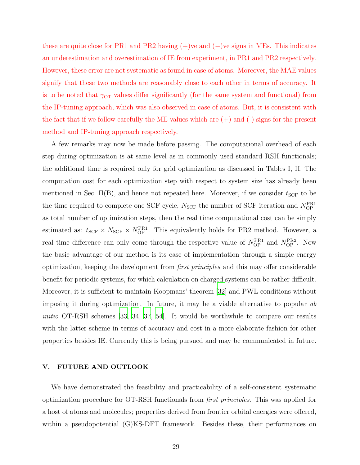these are quite close for PR1 and PR2 having (+)ve and (−)ve signs in MEs. This indicates an underestimation and overestimation of IE from experiment, in PR1 and PR2 respectively. However, these error are not systematic as found in case of atoms. Moreover, the MAE values signify that these two methods are reasonably close to each other in terms of accuracy. It is to be noted that  $\gamma_{\text{OT}}$  values differ significantly (for the same system and functional) from the IP-tuning approach, which was also observed in case of atoms. But, it is consistent with the fact that if we follow carefully the ME values which are  $(+)$  and  $(-)$  signs for the present method and IP-tuning approach respectively.

A few remarks may now be made before passing. The computational overhead of each step during optimization is at same level as in commonly used standard RSH functionals; the additional time is required only for grid optimization as discussed in Tables I, II. The computation cost for each optimization step with respect to system size has already been mentioned in Sec. II(B), and hence not repeated here. Moreover, if we consider  $t_{SCF}$  to be the time required to complete one SCF cycle,  $N_{\text{SCF}}$  the number of SCF iteration and  $N_{\text{OP}}^{\text{PR1}}$ as total number of optimization steps, then the real time computational cost can be simply estimated as:  $t_{SCF} \times N_{SCF} \times N_{OP}^{\text{PR1}}$ . This equivalently holds for PR2 method. However, a real time difference can only come through the respective value of  $N_{\text{OP}}^{\text{PR1}}$  and  $N_{\text{OP}}^{\text{PR2}}$ . Now the basic advantage of our method is its ease of implementation through a simple energy optimization, keeping the development from first principles and this may offer considerable benefit for periodic systems, for which calculation on charged systems can be rather difficult. Moreover, it is sufficient to maintain Koopmans' theorem [\[32\]](#page-30-24) and PWL conditions without imposing it during optimization. In future, it may be a viable alternative to popular ab initio OT-RSH schemes [\[33](#page-30-25), [34,](#page-30-26) [37,](#page-31-2) [54\]](#page-31-15). It would be worthwhile to compare our results with the latter scheme in terms of accuracy and cost in a more elaborate fashion for other properties besides IE. Currently this is being pursued and may be communicated in future.

## V. FUTURE AND OUTLOOK

We have demonstrated the feasibility and practicability of a self-consistent systematic optimization procedure for OT-RSH functionals from first principles. This was applied for a host of atoms and molecules; properties derived from frontier orbital energies were offered, within a pseudopotential (G)KS-DFT framework. Besides these, their performances on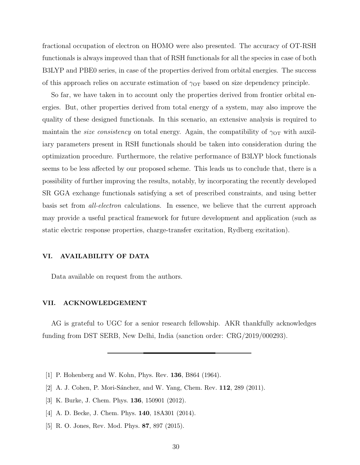fractional occupation of electron on HOMO were also presented. The accuracy of OT-RSH functionals is always improved than that of RSH functionals for all the species in case of both B3LYP and PBE0 series, in case of the properties derived from orbital energies. The success of this approach relies on accurate estimation of  $\gamma_{\text{OT}}$  based on size dependency principle.

So far, we have taken in to account only the properties derived from frontier orbital energies. But, other properties derived from total energy of a system, may also improve the quality of these designed functionals. In this scenario, an extensive analysis is required to maintain the *size consistency* on total energy. Again, the compatibility of  $\gamma_{\text{OT}}$  with auxiliary parameters present in RSH functionals should be taken into consideration during the optimization procedure. Furthermore, the relative performance of B3LYP block functionals seems to be less affected by our proposed scheme. This leads us to conclude that, there is a possibility of further improving the results, notably, by incorporating the recently developed SR GGA exchange functionals satisfying a set of prescribed constraints, and using better basis set from all-electron calculations. In essence, we believe that the current approach may provide a useful practical framework for future development and application (such as static electric response properties, charge-transfer excitation, Rydberg excitation).

## VI. AVAILABILITY OF DATA

Data available on request from the authors.

## VII. ACKNOWLEDGEMENT

AG is grateful to UGC for a senior research fellowship. AKR thankfully acknowledges funding from DST SERB, New Delhi, India (sanction order: CRG/2019/000293).

- <span id="page-29-0"></span>[1] P. Hohenberg and W. Kohn, Phys. Rev. 136, B864 (1964).
- <span id="page-29-1"></span>[2] A. J. Cohen, P. Mori-Sánchez, and W. Yang, Chem. Rev. 112, 289 (2011).
- [3] K. Burke, J. Chem. Phys. **136**, 150901 (2012).
- [4] A. D. Becke, J. Chem. Phys. 140, 18A301 (2014).
- <span id="page-29-2"></span>[5] R. O. Jones, Rev. Mod. Phys. 87, 897 (2015).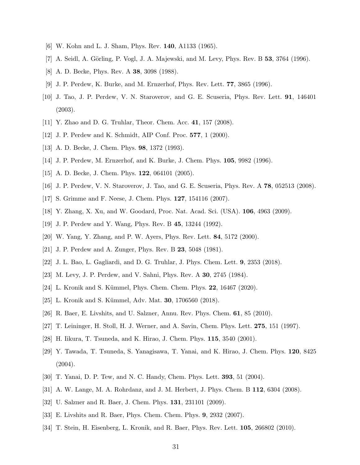- <span id="page-30-1"></span><span id="page-30-0"></span>[6] W. Kohn and L. J. Sham, Phys. Rev. 140, A1133 (1965).
- <span id="page-30-2"></span>[7] A. Seidl, A. Görling, P. Vogl, J. A. Majewski, and M. Levy, Phys. Rev. B  $53, 3764$  (1996).
- <span id="page-30-3"></span>[8] A. D. Becke, Phys. Rev. A 38, 3098 (1988).
- <span id="page-30-4"></span>[9] J. P. Perdew, K. Burke, and M. Ernzerhof, Phys. Rev. Lett. 77, 3865 (1996).
- [10] J. Tao, J. P. Perdew, V. N. Staroverov, and G. E. Scuseria, Phys. Rev. Lett. 91, 146401 (2003).
- <span id="page-30-6"></span><span id="page-30-5"></span>[11] Y. Zhao and D. G. Truhlar, Theor. Chem. Acc. 41, 157 (2008).
- <span id="page-30-7"></span>[12] J. P. Perdew and K. Schmidt, AIP Conf. Proc. 577, 1 (2000).
- <span id="page-30-8"></span>[13] A. D. Becke, J. Chem. Phys. **98**, 1372 (1993).
- <span id="page-30-9"></span>[14] J. P. Perdew, M. Ernzerhof, and K. Burke, J. Chem. Phys. 105, 9982 (1996).
- <span id="page-30-10"></span>[15] A. D. Becke, J. Chem. Phys. **122**, 064101 (2005).
- <span id="page-30-11"></span>[16] J. P. Perdew, V. N. Staroverov, J. Tao, and G. E. Scuseria, Phys. Rev. A 78, 052513 (2008).
- <span id="page-30-12"></span>[17] S. Grimme and F. Neese, J. Chem. Phys. 127, 154116 (2007).
- <span id="page-30-13"></span>[18] Y. Zhang, X. Xu, and W. Goodard, Proc. Nat. Acad. Sci. (USA). 106, 4963 (2009).
- <span id="page-30-14"></span>[19] J. P. Perdew and Y. Wang, Phys. Rev. B 45, 13244 (1992).
- <span id="page-30-15"></span>[20] W. Yang, Y. Zhang, and P. W. Ayers, Phys. Rev. Lett. 84, 5172 (2000).
- [21] J. P. Perdew and A. Zunger, Phys. Rev. B 23, 5048 (1981).
- <span id="page-30-16"></span>[22] J. L. Bao, L. Gagliardi, and D. G. Truhlar, J. Phys. Chem. Lett. 9, 2353 (2018).
- <span id="page-30-17"></span>[23] M. Levy, J. P. Perdew, and V. Sahni, Phys. Rev. A 30, 2745 (1984).
- <span id="page-30-18"></span>[24] L. Kronik and S. Kümmel, Phys. Chem. Chem. Phys. **22**, 16467 (2020).
- <span id="page-30-19"></span>[25] L. Kronik and S. Kümmel, Adv. Mat. **30**, 1706560 (2018).
- <span id="page-30-20"></span>[26] R. Baer, E. Livshits, and U. Salzner, Annu. Rev. Phys. Chem. 61, 85 (2010).
- <span id="page-30-21"></span>[27] T. Leininger, H. Stoll, H. J. Werner, and A. Savin, Chem. Phys. Lett. 275, 151 (1997).
- <span id="page-30-22"></span>[28] H. Iikura, T. Tsuneda, and K. Hirao, J. Chem. Phys. 115, 3540 (2001).
- <span id="page-30-28"></span>[29] Y. Tawada, T. Tsuneda, S. Yanagisawa, T. Yanai, and K. Hirao, J. Chem. Phys. 120, 8425 (2004).
- <span id="page-30-27"></span>[30] T. Yanai, D. P. Tew, and N. C. Handy, Chem. Phys. Lett. 393, 51 (2004).
- <span id="page-30-23"></span>[31] A. W. Lange, M. A. Rohrdanz, and J. M. Herbert, J. Phys. Chem. B 112, 6304 (2008).
- <span id="page-30-24"></span>[32] U. Salzner and R. Baer, J. Chem. Phys. 131, 231101 (2009).
- <span id="page-30-25"></span>[33] E. Livshits and R. Baer, Phys. Chem. Chem. Phys. 9, 2932 (2007).
- <span id="page-30-26"></span>[34] T. Stein, H. Eisenberg, L. Kronik, and R. Baer, Phys. Rev. Lett. 105, 266802 (2010).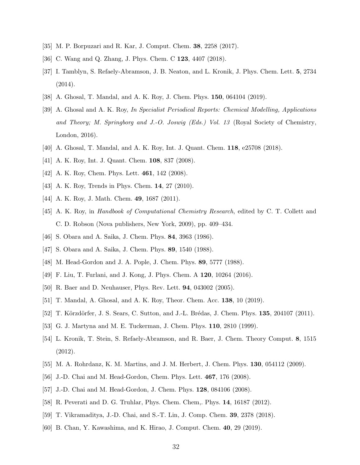- <span id="page-31-1"></span><span id="page-31-0"></span>[35] M. P. Borpuzari and R. Kar, J. Comput. Chem. 38, 2258 (2017).
- <span id="page-31-2"></span>[36] C. Wang and Q. Zhang, J. Phys. Chem. C 123, 4407 (2018).
- [37] I. Tamblyn, S. Refaely-Abramson, J. B. Neaton, and L. Kronik, J. Phys. Chem. Lett. 5, 2734 (2014).
- <span id="page-31-5"></span><span id="page-31-3"></span>[38] A. Ghosal, T. Mandal, and A. K. Roy, J. Chem. Phys. 150, 064104 (2019).
- [39] A. Ghosal and A. K. Roy, *In Specialist Periodical Reports: Chemical Modelling, Applications and Theory; M. Springborg and J.-O. Joswig (Eds.) Vol. 13* (Royal Society of Chemistry, London, 2016).
- <span id="page-31-20"></span><span id="page-31-4"></span>[40] A. Ghosal, T. Mandal, and A. K. Roy, Int. J. Quant. Chem. 118, e25708 (2018).
- [41] A. K. Roy, Int. J. Quant. Chem. 108, 837 (2008).
- [42] A. K. Roy, Chem. Phys. Lett. **461**, 142 (2008).
- <span id="page-31-21"></span>[43] A. K. Roy, Trends in Phys. Chem. **14**, 27 (2010).
- <span id="page-31-6"></span>[44] A. K. Roy, J. Math. Chem. **49**, 1687 (2011).
- [45] A. K. Roy, in *Handbook of Computational Chemistry Research*, edited by C. T. Collett and C. D. Robson (Nova publishers, New York, 2009), pp. 409–434.
- <span id="page-31-8"></span><span id="page-31-7"></span>[46] S. Obara and A. Saika, J. Chem. Phys. 84, 3963 (1986).
- [47] S. Obara and A. Saika, J. Chem. Phys. **89**, 1540 (1988).
- <span id="page-31-9"></span>[48] M. Head-Gordon and J. A. Pople, J. Chem. Phys. 89, 5777 (1988).
- <span id="page-31-10"></span>[49] F. Liu, T. Furlani, and J. Kong, J. Phys. Chem. A 120, 10264 (2016).
- <span id="page-31-12"></span><span id="page-31-11"></span>[50] R. Baer and D. Neuhauser, Phys. Rev. Lett. 94, 043002 (2005).
- [51] T. Mandal, A. Ghosal, and A. K. Roy, Theor. Chem. Acc. 138, 10 (2019).
- <span id="page-31-13"></span>[52] T. Körzdörfer, J. S. Sears, C. Sutton, and J.-L. Brédas, J. Chem. Phys. 135, 204107 (2011).
- <span id="page-31-14"></span>[53] G. J. Martyna and M. E. Tuckerman, J. Chem. Phys. **110**, 2810 (1999).
- <span id="page-31-15"></span>[54] L. Kronik, T. Stein, S. Refaely-Abramson, and R. Baer, J. Chem. Theory Comput. 8, 1515 (2012).
- <span id="page-31-16"></span>[55] M. A. Rohrdanz, K. M. Martins, and J. M. Herbert, J. Chem. Phys. 130, 054112 (2009).
- <span id="page-31-17"></span>[56] J.-D. Chai and M. Head-Gordon, Chem. Phys. Lett. 467, 176 (2008).
- <span id="page-31-19"></span>[57] J.-D. Chai and M. Head-Gordon, J. Chem. Phys. 128, 084106 (2008).
- [58] R. Peverati and D. G. Truhlar, Phys. Chem. Chem,. Phys. 14, 16187 (2012).
- [59] T. Vikramaditya, J.-D. Chai, and S.-T. Lin, J. Comp. Chem. 39, 2378 (2018).
- <span id="page-31-18"></span>[60] B. Chan, Y. Kawashima, and K. Hirao, J. Comput. Chem. 40, 29 (2019).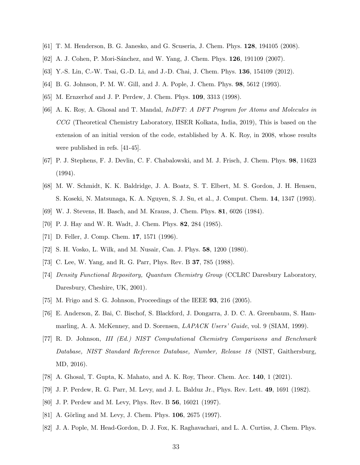- <span id="page-32-1"></span><span id="page-32-0"></span>[61] T. M. Henderson, B. G. Janesko, and G. Scuseria, J. Chem. Phys. 128, 194105 (2008).
- <span id="page-32-2"></span>[62] A. J. Cohen, P. Mori-Sánchez, and W. Yang, J. Chem. Phys. **126**, 191109 (2007).
- [63] Y.-S. Lin, C.-W. Tsai, G.-D. Li, and J.-D. Chai, J. Chem. Phys. **136**, 154109 (2012).
- <span id="page-32-4"></span><span id="page-32-3"></span>[64] B. G. Johnson, P. M. W. Gill, and J. A. Pople, J. Chem. Phys. 98, 5612 (1993).
- <span id="page-32-6"></span>[65] M. Ernzerhof and J. P. Perdew, J. Chem. Phys. 109, 3313 (1998).
- [66] A. K. Roy, A. Ghosal and T. Mandal, *InDFT: A DFT Program for Atoms and Molecules in CCG* (Theoretical Chemistry Laboratory, IISER Kolkata, India, 2019), This is based on the extension of an initial version of the code, established by A. K. Roy, in 2008, whose results were published in refs. [41-45].
- <span id="page-32-7"></span>[67] P. J. Stephens, F. J. Devlin, C. F. Chabalowski, and M. J. Frisch, J. Chem. Phys. 98, 11623 (1994).
- <span id="page-32-5"></span>[68] M. W. Schmidt, K. K. Baldridge, J. A. Boatz, S. T. Elbert, M. S. Gordon, J. H. Hensen, S. Koseki, N. Matsunaga, K. A. Nguyen, S. J. Su, et al., J. Comput. Chem. 14, 1347 (1993).
- <span id="page-32-9"></span><span id="page-32-8"></span>[69] W. J. Stevens, H. Basch, and M. Krauss, J. Chem. Phys. 81, 6026 (1984).
- <span id="page-32-10"></span>[70] P. J. Hay and W. R. Wadt, J. Chem. Phys. 82, 284 (1985).
- <span id="page-32-11"></span>[71] D. Feller, J. Comp. Chem. 17, 1571 (1996).
- [72] S. H. Vosko, L. Wilk, and M. Nusair, Can. J. Phys. 58, 1200 (1980).
- <span id="page-32-12"></span>[73] C. Lee, W. Yang, and R. G. Parr, Phys. Rev. B 37, 785 (1988).
- <span id="page-32-13"></span>[74] *Density Functional Repository, Quantum Chemistry Group* (CCLRC Daresbury Laboratory, Daresbury, Cheshire, UK, 2001).
- <span id="page-32-14"></span>[75] M. Frigo and S. G. Johnson, Proceedings of the IEEE 93, 216 (2005).
- <span id="page-32-15"></span>[76] E. Anderson, Z. Bai, C. Bischof, S. Blackford, J. Dongarra, J. D. C. A. Greenbaum, S. Hammarling, A. A. McKenney, and D. Sorensen, *LAPACK Users' Guide*, vol. 9 (SIAM, 1999).
- <span id="page-32-16"></span>[77] R. D. Johnson, *III (Ed.) NIST Computational Chemistry Comparisons and Benchmark Database, NIST Standard Reference Database, Number, Release 18* (NIST, Gaithersburg, MD, 2016).
- <span id="page-32-17"></span>[78] A. Ghosal, T. Gupta, K. Mahato, and A. K. Roy, Theor. Chem. Acc. 140, 1 (2021).
- <span id="page-32-18"></span>[79] J. P. Perdew, R. G. Parr, M. Levy, and J. L. Balduz Jr., Phys. Rev. Lett. 49, 1691 (1982).
- <span id="page-32-19"></span>[80] J. P. Perdew and M. Levy, Phys. Rev. B 56, 16021 (1997).
- <span id="page-32-20"></span>[81] A. Görling and M. Levy, J. Chem. Phys. 106, 2675 (1997).
- <span id="page-32-21"></span>[82] J. A. Pople, M. Head-Gordon, D. J. Fox, K. Raghavachari, and L. A. Curtiss, J. Chem. Phys.